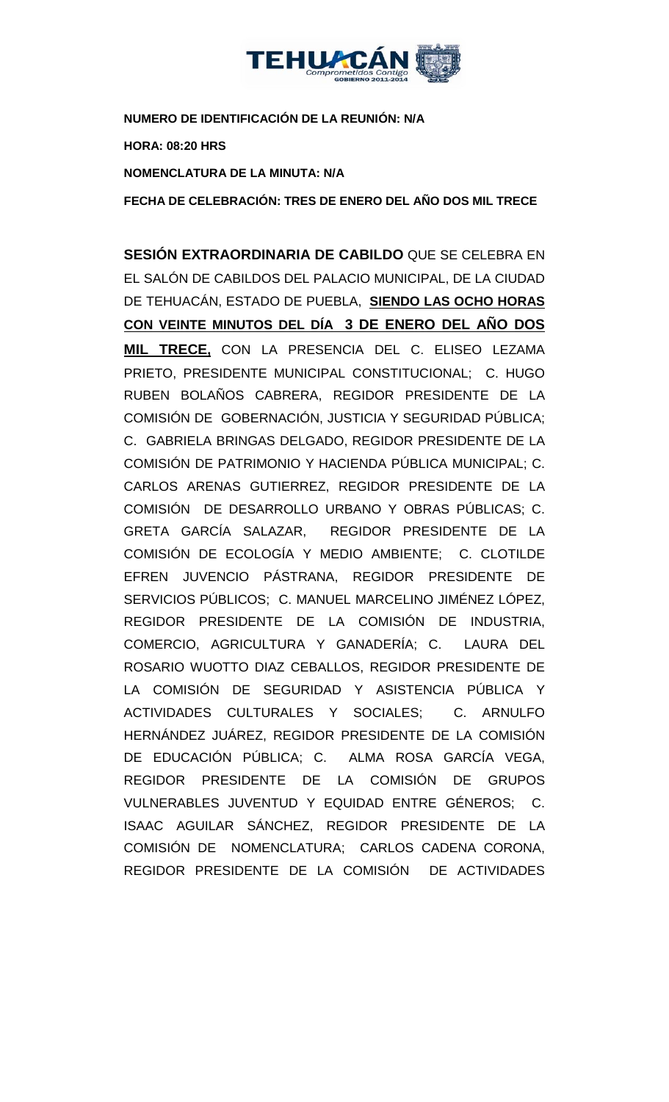

**NUMERO DE IDENTIFICACIÓN DE LA REUNIÓN: N/A HORA: 08:20 HRS NOMENCLATURA DE LA MINUTA: N/A**

**FECHA DE CELEBRACIÓN: TRES DE ENERO DEL AÑO DOS MIL TRECE**

**SESIÓN EXTRAORDINARIA DE CABILDO** QUE SE CELEBRA EN EL SALÓN DE CABILDOS DEL PALACIO MUNICIPAL, DE LA CIUDAD DE TEHUACÁN, ESTADO DE PUEBLA, **SIENDO LAS OCHO HORAS CON VEINTE MINUTOS DEL DÍA 3 DE ENERO DEL AÑO DOS MIL TRECE,** CON LA PRESENCIA DEL C. ELISEO LEZAMA PRIETO, PRESIDENTE MUNICIPAL CONSTITUCIONAL; C. HUGO RUBEN BOLAÑOS CABRERA, REGIDOR PRESIDENTE DE LA COMISIÓN DE GOBERNACIÓN, JUSTICIA Y SEGURIDAD PÚBLICA; C. GABRIELA BRINGAS DELGADO, REGIDOR PRESIDENTE DE LA COMISIÓN DE PATRIMONIO Y HACIENDA PÚBLICA MUNICIPAL; C. CARLOS ARENAS GUTIERREZ, REGIDOR PRESIDENTE DE LA COMISIÓN DE DESARROLLO URBANO Y OBRAS PÚBLICAS; C. GRETA GARCÍA SALAZAR, REGIDOR PRESIDENTE DE LA COMISIÓN DE ECOLOGÍA Y MEDIO AMBIENTE; C. CLOTILDE EFREN JUVENCIO PÁSTRANA, REGIDOR PRESIDENTE DE SERVICIOS PÚBLICOS; C. MANUEL MARCELINO JIMÉNEZ LÓPEZ, REGIDOR PRESIDENTE DE LA COMISIÓN DE INDUSTRIA, COMERCIO, AGRICULTURA Y GANADERÍA; C. LAURA DEL ROSARIO WUOTTO DIAZ CEBALLOS, REGIDOR PRESIDENTE DE LA COMISIÓN DE SEGURIDAD Y ASISTENCIA PÚBLICA Y ACTIVIDADES CULTURALES Y SOCIALES; C. ARNULFO HERNÁNDEZ JUÁREZ, REGIDOR PRESIDENTE DE LA COMISIÓN DE EDUCACIÓN PÚBLICA; C. ALMA ROSA GARCÍA VEGA, REGIDOR PRESIDENTE DE LA COMISIÓN DE GRUPOS VULNERABLES JUVENTUD Y EQUIDAD ENTRE GÉNEROS; C. ISAAC AGUILAR SÁNCHEZ, REGIDOR PRESIDENTE DE LA COMISIÓN DE NOMENCLATURA; CARLOS CADENA CORONA, REGIDOR PRESIDENTE DE LA COMISIÓN DE ACTIVIDADES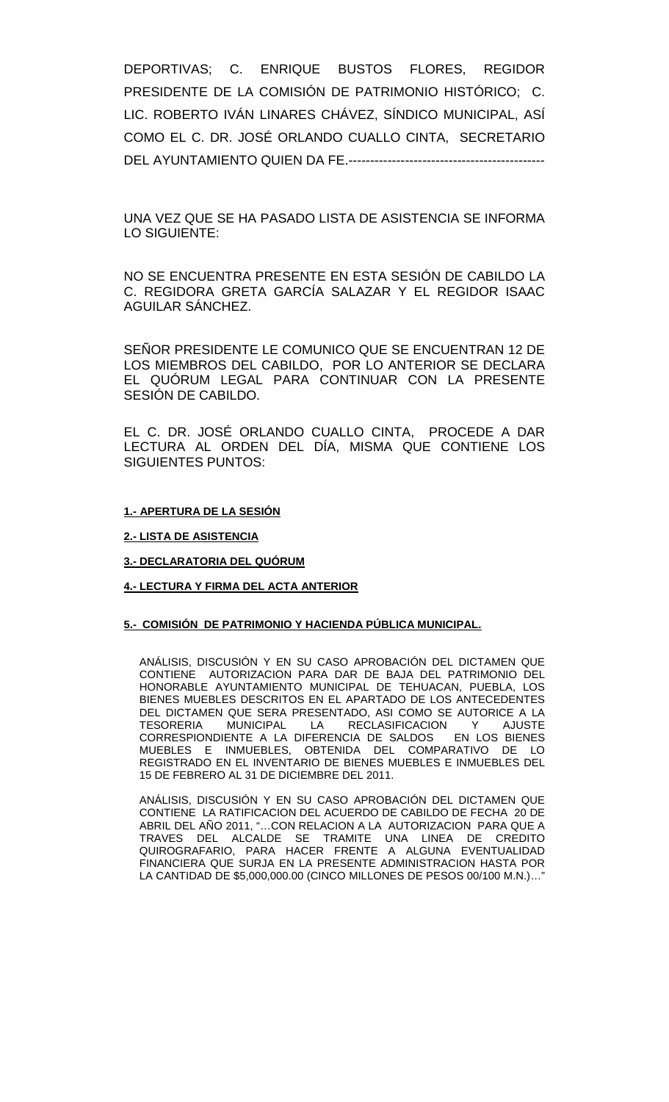DEPORTIVAS; C. ENRIQUE BUSTOS FLORES, REGIDOR PRESIDENTE DE LA COMISIÓN DE PATRIMONIO HISTÓRICO; C. LIC. ROBERTO IVÁN LINARES CHÁVEZ, SÍNDICO MUNICIPAL, ASÍ COMO EL C. DR. JOSÉ ORLANDO CUALLO CINTA, SECRETARIO DEL AYUNTAMIENTO QUIEN DA FE.---------------------------------------------

UNA VEZ QUE SE HA PASADO LISTA DE ASISTENCIA SE INFORMA LO SIGUIENTE:

NO SE ENCUENTRA PRESENTE EN ESTA SESIÓN DE CABILDO LA C. REGIDORA GRETA GARCÍA SALAZAR Y EL REGIDOR ISAAC AGUILAR SÁNCHEZ.

SEÑOR PRESIDENTE LE COMUNICO QUE SE ENCUENTRAN 12 DE LOS MIEMBROS DEL CABILDO, POR LO ANTERIOR SE DECLARA EL QUÓRUM LEGAL PARA CONTINUAR CON LA PRESENTE SESIÓN DE CABILDO.

EL C. DR. JOSÉ ORLANDO CUALLO CINTA, PROCEDE A DAR LECTURA AL ORDEN DEL DÍA, MISMA QUE CONTIENE LOS SIGUIENTES PUNTOS:

#### **1.- APERTURA DE LA SESIÓN**

**2.- LISTA DE ASISTENCIA**

**3.- DECLARATORIA DEL QUÓRUM**

#### **4.- LECTURA Y FIRMA DEL ACTA ANTERIOR**

#### **5.- COMISIÓN DE PATRIMONIO Y HACIENDA PÚBLICA MUNICIPAL.**

ANÁLISIS, DISCUSIÓN Y EN SU CASO APROBACIÓN DEL DICTAMEN QUE CONTIENE AUTORIZACION PARA DAR DE BAJA DEL PATRIMONIO DEL HONORABLE AYUNTAMIENTO MUNICIPAL DE TEHUACAN, PUEBLA, LOS BIENES MUEBLES DESCRITOS EN EL APARTADO DE LOS ANTECEDENTES DEL DICTAMEN QUE SERA PRESENTADO, ASI COMO SE AUTORICE A LA<br>TESORERIA MUNICIPAL LA RECLASIFICACION Y AJUSTE TESORERIA MUNICIPAL LA RECLASIFICACION Y AJUSTE CORRESPIONDIENTE A LA DIFERENCIA DE SALDOS EN LOS BIENES MUEBLES E INMUEBLES, OBTENIDA DEL COMPARATIVO DE LO REGISTRADO EN EL INVENTARIO DE BIENES MUEBLES E INMUEBLES DEL 15 DE FEBRERO AL 31 DE DICIEMBRE DEL 2011.

ANÁLISIS, DISCUSIÓN Y EN SU CASO APROBACIÓN DEL DICTAMEN QUE CONTIENE LA RATIFICACION DEL ACUERDO DE CABILDO DE FECHA 20 DE ABRIL DEL AÑO 2011, "…CON RELACION A LA AUTORIZACION PARA QUE A TRAVES DEL ALCALDE SE TRAMITE UNA LINEA DE CREDITO QUIROGRAFARIO, PARA HACER FRENTE A ALGUNA EVENTUALIDAD FINANCIERA QUE SURJA EN LA PRESENTE ADMINISTRACION HASTA POR LA CANTIDAD DE \$5,000,000.00 (CINCO MILLONES DE PESOS 00/100 M.N.)…"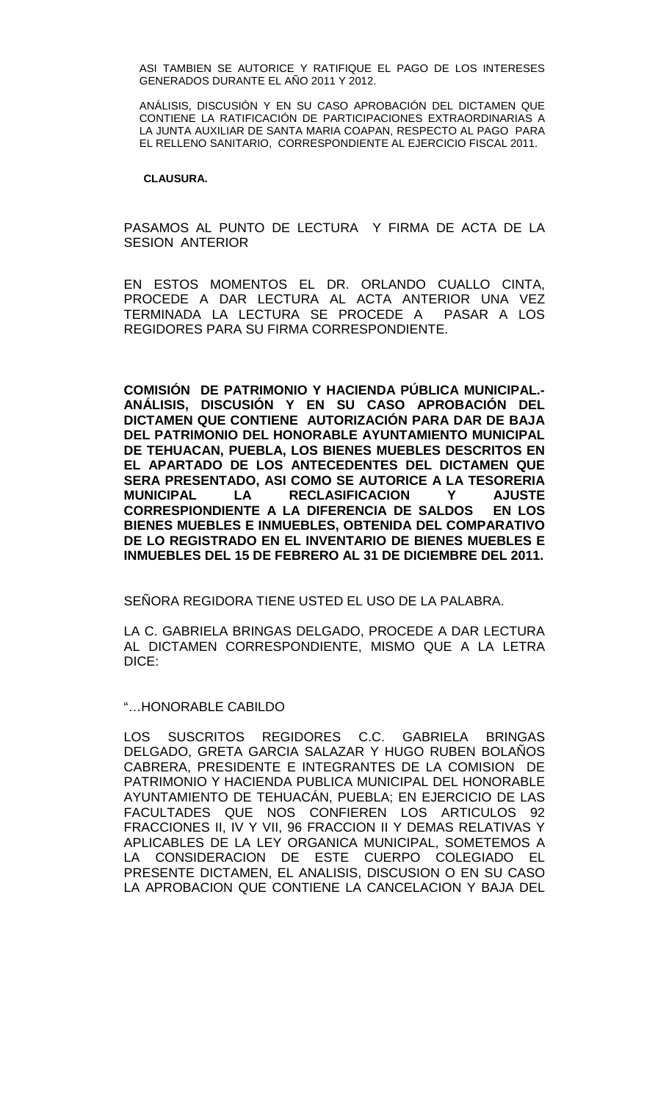ASI TAMBIEN SE AUTORICE Y RATIFIQUE EL PAGO DE LOS INTERESES GENERADOS DURANTE EL AÑO 2011 Y 2012.

ANÁLISIS, DISCUSIÓN Y EN SU CASO APROBACIÓN DEL DICTAMEN QUE CONTIENE LA RATIFICACIÓN DE PARTICIPACIONES EXTRAORDINARIAS A LA JUNTA AUXILIAR DE SANTA MARIA COAPAN, RESPECTO AL PAGO PARA EL RELLENO SANITARIO, CORRESPONDIENTE AL EJERCICIO FISCAL 2011.

#### **CLAUSURA.**

PASAMOS AL PUNTO DE LECTURA Y FIRMA DE ACTA DE LA SESION ANTERIOR

EN ESTOS MOMENTOS EL DR. ORLANDO CUALLO CINTA, PROCEDE A DAR LECTURA AL ACTA ANTERIOR UNA VEZ TERMINADA LA LECTURA SE PROCEDE A PASAR A LOS REGIDORES PARA SU FIRMA CORRESPONDIENTE.

**COMISIÓN DE PATRIMONIO Y HACIENDA PÚBLICA MUNICIPAL.- ANÁLISIS, DISCUSIÓN Y EN SU CASO APROBACIÓN DEL DICTAMEN QUE CONTIENE AUTORIZACIÓN PARA DAR DE BAJA DEL PATRIMONIO DEL HONORABLE AYUNTAMIENTO MUNICIPAL DE TEHUACAN, PUEBLA, LOS BIENES MUEBLES DESCRITOS EN EL APARTADO DE LOS ANTECEDENTES DEL DICTAMEN QUE SERA PRESENTADO, ASI COMO SE AUTORICE A LA TESORERIA MUNICIPAL LA RECLASIFICACION Y AJUSTE CORRESPIONDIENTE A LA DIFERENCIA DE SALDOS EN LOS BIENES MUEBLES E INMUEBLES, OBTENIDA DEL COMPARATIVO DE LO REGISTRADO EN EL INVENTARIO DE BIENES MUEBLES E INMUEBLES DEL 15 DE FEBRERO AL 31 DE DICIEMBRE DEL 2011.**

SEÑORA REGIDORA TIENE USTED EL USO DE LA PALABRA.

LA C. GABRIELA BRINGAS DELGADO, PROCEDE A DAR LECTURA AL DICTAMEN CORRESPONDIENTE, MISMO QUE A LA LETRA DICE:

#### "…HONORABLE CABILDO

LOS SUSCRITOS REGIDORES C.C. GABRIELA BRINGAS DELGADO, GRETA GARCIA SALAZAR Y HUGO RUBEN BOLAÑOS CABRERA, PRESIDENTE E INTEGRANTES DE LA COMISION DE PATRIMONIO Y HACIENDA PUBLICA MUNICIPAL DEL HONORABLE AYUNTAMIENTO DE TEHUACÁN, PUEBLA; EN EJERCICIO DE LAS FACULTADES QUE NOS CONFIEREN LOS ARTICULOS 92 FRACCIONES II, IV Y VII, 96 FRACCION II Y DEMAS RELATIVAS Y APLICABLES DE LA LEY ORGANICA MUNICIPAL, SOMETEMOS A LA CONSIDERACION DE ESTE CUERPO COLEGIADO EL PRESENTE DICTAMEN, EL ANALISIS, DISCUSION O EN SU CASO LA APROBACION QUE CONTIENE LA CANCELACION Y BAJA DEL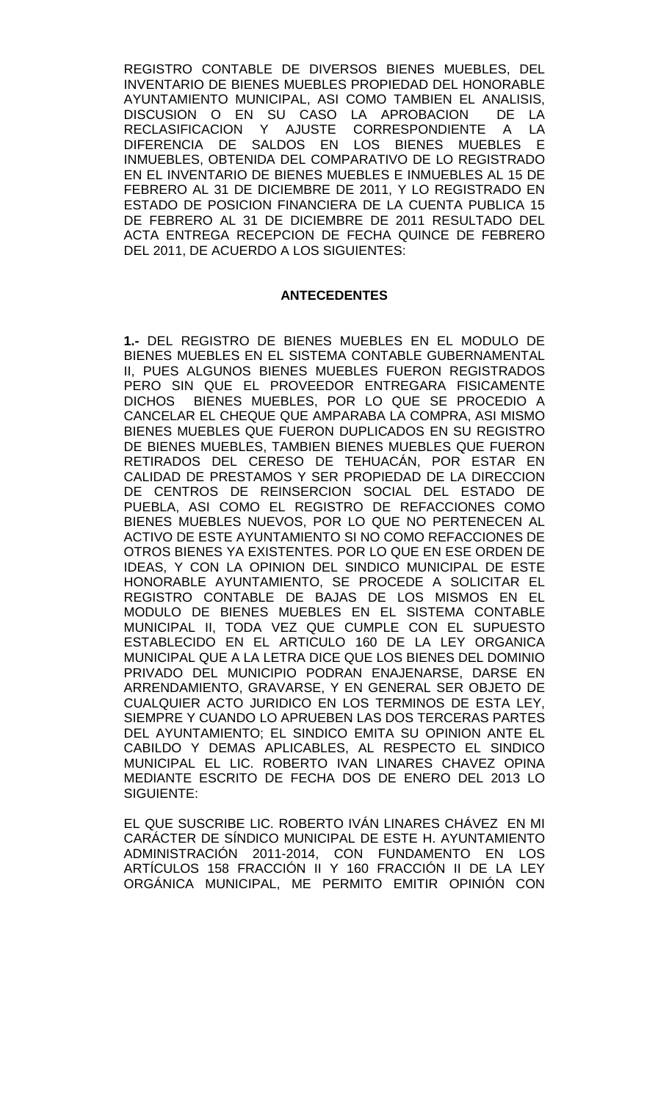REGISTRO CONTABLE DE DIVERSOS BIENES MUEBLES, DEL INVENTARIO DE BIENES MUEBLES PROPIEDAD DEL HONORABLE AYUNTAMIENTO MUNICIPAL, ASI COMO TAMBIEN EL ANALISIS,<br>DISCUSION O EN SU CASO LA APROBACION DE LA DISCUSION O EN SU CASO LA APROBACION RECLASIFICACION Y AJUSTE CORRESPONDIENTE A LA DIFERENCIA DE SALDOS EN LOS BIENES MUEBLES E INMUEBLES, OBTENIDA DEL COMPARATIVO DE LO REGISTRADO EN EL INVENTARIO DE BIENES MUEBLES E INMUEBLES AL 15 DE FEBRERO AL 31 DE DICIEMBRE DE 2011, Y LO REGISTRADO EN ESTADO DE POSICION FINANCIERA DE LA CUENTA PUBLICA 15 DE FEBRERO AL 31 DE DICIEMBRE DE 2011 RESULTADO DEL ACTA ENTREGA RECEPCION DE FECHA QUINCE DE FEBRERO DEL 2011, DE ACUERDO A LOS SIGUIENTES:

### **ANTECEDENTES**

**1.-** DEL REGISTRO DE BIENES MUEBLES EN EL MODULO DE BIENES MUEBLES EN EL SISTEMA CONTABLE GUBERNAMENTAL II, PUES ALGUNOS BIENES MUEBLES FUERON REGISTRADOS PERO SIN QUE EL PROVEEDOR ENTREGARA FISICAMENTE DICHOS BIENES MUEBLES, POR LO QUE SE PROCEDIO A CANCELAR EL CHEQUE QUE AMPARABA LA COMPRA, ASI MISMO BIENES MUEBLES QUE FUERON DUPLICADOS EN SU REGISTRO DE BIENES MUEBLES, TAMBIEN BIENES MUEBLES QUE FUERON RETIRADOS DEL CERESO DE TEHUACÁN, POR ESTAR EN CALIDAD DE PRESTAMOS Y SER PROPIEDAD DE LA DIRECCION DE CENTROS DE REINSERCION SOCIAL DEL ESTADO DE PUEBLA, ASI COMO EL REGISTRO DE REFACCIONES COMO BIENES MUEBLES NUEVOS, POR LO QUE NO PERTENECEN AL ACTIVO DE ESTE AYUNTAMIENTO SI NO COMO REFACCIONES DE OTROS BIENES YA EXISTENTES. POR LO QUE EN ESE ORDEN DE IDEAS, Y CON LA OPINION DEL SINDICO MUNICIPAL DE ESTE HONORABLE AYUNTAMIENTO, SE PROCEDE A SOLICITAR EL REGISTRO CONTABLE DE BAJAS DE LOS MISMOS EN EL MODULO DE BIENES MUEBLES EN EL SISTEMA CONTABLE MUNICIPAL II, TODA VEZ QUE CUMPLE CON EL SUPUESTO ESTABLECIDO EN EL ARTICULO 160 DE LA LEY ORGANICA MUNICIPAL QUE A LA LETRA DICE QUE LOS BIENES DEL DOMINIO PRIVADO DEL MUNICIPIO PODRAN ENAJENARSE, DARSE EN ARRENDAMIENTO, GRAVARSE, Y EN GENERAL SER OBJETO DE CUALQUIER ACTO JURIDICO EN LOS TERMINOS DE ESTA LEY, SIEMPRE Y CUANDO LO APRUEBEN LAS DOS TERCERAS PARTES DEL AYUNTAMIENTO; EL SINDICO EMITA SU OPINION ANTE EL CABILDO Y DEMAS APLICABLES, AL RESPECTO EL SINDICO MUNICIPAL EL LIC. ROBERTO IVAN LINARES CHAVEZ OPINA MEDIANTE ESCRITO DE FECHA DOS DE ENERO DEL 2013 LO SIGUIENTE:

EL QUE SUSCRIBE LIC. ROBERTO IVÁN LINARES CHÁVEZ EN MI CARÁCTER DE SÍNDICO MUNICIPAL DE ESTE H. AYUNTAMIENTO ADMINISTRACIÓN 2011-2014, CON FUNDAMENTO EN LOS ARTICULOS 158 FRACCION II Y 160 FRACCION II DE LA LEY ORGÁNICA MUNICIPAL, ME PERMITO EMITIR OPINIÓN CON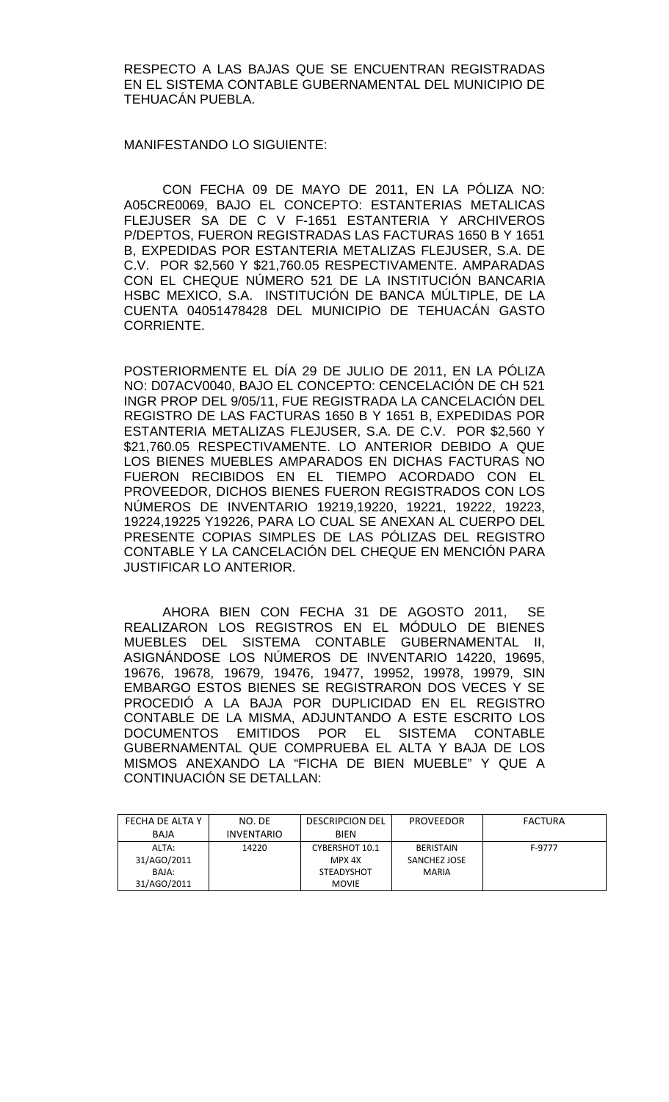RESPECTO A LAS BAJAS QUE SE ENCUENTRAN REGISTRADAS EN EL SISTEMA CONTABLE GUBERNAMENTAL DEL MUNICIPIO DE TEHUACÁN PUEBLA.

MANIFESTANDO LO SIGUIENTE:

CON FECHA 09 DE MAYO DE 2011, EN LA PÓLIZA NO: A05CRE0069, BAJO EL CONCEPTO: ESTANTERIAS METALICAS FLEJUSER SA DE C V F-1651 ESTANTERIA Y ARCHIVEROS P/DEPTOS, FUERON REGISTRADAS LAS FACTURAS 1650 B Y 1651 B, EXPEDIDAS POR ESTANTERIA METALIZAS FLEJUSER, S.A. DE C.V. POR \$2,560 Y \$21,760.05 RESPECTIVAMENTE. AMPARADAS CON EL CHEQUE NÚMERO 521 DE LA INSTITUCIÓN BANCARIA HSBC MEXICO, S.A. INSTITUCIÓN DE BANCA MÚLTIPLE, DE LA CUENTA 04051478428 DEL MUNICIPIO DE TEHUACÁN GASTO CORRIENTE.

POSTERIORMENTE EL DÍA 29 DE JULIO DE 2011, EN LA PÓLIZA NO: D07ACV0040, BAJO EL CONCEPTO: CENCELACIÓN DE CH 521 INGR PROP DEL 9/05/11, FUE REGISTRADA LA CANCELACIÓN DEL REGISTRO DE LAS FACTURAS 1650 B Y 1651 B, EXPEDIDAS POR ESTANTERIA METALIZAS FLEJUSER, S.A. DE C.V. POR \$2,560 Y \$21,760.05 RESPECTIVAMENTE. LO ANTERIOR DEBIDO A QUE LOS BIENES MUEBLES AMPARADOS EN DICHAS FACTURAS NO FUERON RECIBIDOS EN EL TIEMPO ACORDADO CON EL PROVEEDOR, DICHOS BIENES FUERON REGISTRADOS CON LOS NÚMEROS DE INVENTARIO 19219,19220, 19221, 19222, 19223, 19224,19225 Y19226, PARA LO CUAL SE ANEXAN AL CUERPO DEL PRESENTE COPIAS SIMPLES DE LAS PÓLIZAS DEL REGISTRO CONTABLE Y LA CANCELACIÓN DEL CHEQUE EN MENCIÓN PARA JUSTIFICAR LO ANTERIOR.

AHORA BIEN CON FECHA 31 DE AGOSTO 2011, SE REALIZARON LOS REGISTROS EN EL MÓDULO DE BIENES MUEBLES DEL SISTEMA CONTABLE GUBERNAMENTAL II, ASIGNÁNDOSE LOS NÚMEROS DE INVENTARIO 14220, 19695, 19676, 19678, 19679, 19476, 19477, 19952, 19978, 19979, SIN EMBARGO ESTOS BIENES SE REGISTRARON DOS VECES Y SE PROCEDIÓ A LA BAJA POR DUPLICIDAD EN EL REGISTRO CONTABLE DE LA MISMA, ADJUNTANDO A ESTE ESCRITO LOS DOCUMENTOS EMITIDOS POR EL SISTEMA CONTABLE GUBERNAMENTAL QUE COMPRUEBA EL ALTA Y BAJA DE LOS MISMOS ANEXANDO LA "FICHA DE BIEN MUEBLE" Y QUE A CONTINUACIÓN SE DETALLAN:

| FECHA DE ALTA Y | NO. DE            | <b>DESCRIPCION DEL</b> | <b>PROVEEDOR</b> | FACTURA |
|-----------------|-------------------|------------------------|------------------|---------|
| BAJA            | <b>INVENTARIO</b> | <b>BIFN</b>            |                  |         |
| ALTA:           | 14220             | CYBERSHOT 10.1         | <b>BERISTAIN</b> | F-9777  |
| 31/AGO/2011     |                   | MPX 4X                 | SANCHEZ JOSE     |         |
| BAJA:           |                   | <b>STEADYSHOT</b>      | <b>MARIA</b>     |         |
| 31/AGO/2011     |                   | <b>MOVIE</b>           |                  |         |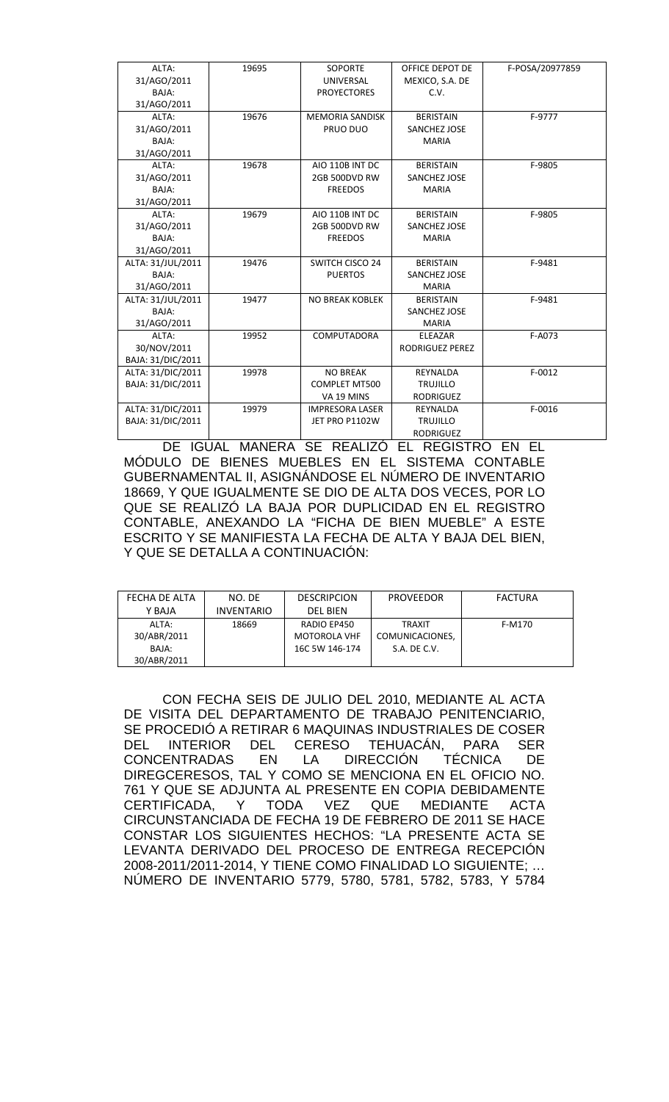| ALTA:             | 19695 | <b>SOPORTE</b>         | OFFICE DEPOT DE        | F-POSA/20977859 |
|-------------------|-------|------------------------|------------------------|-----------------|
| 31/AGO/2011       |       | UNIVERSAL              | MEXICO, S.A. DE        |                 |
| BAJA:             |       | <b>PROYECTORES</b>     | C.V.                   |                 |
| 31/AGO/2011       |       |                        |                        |                 |
| ALTA:             | 19676 | <b>MEMORIA SANDISK</b> | <b>BERISTAIN</b>       | F-9777          |
| 31/AGO/2011       |       | PRUO DUO               | SANCHEZ JOSE           |                 |
| BAJA:             |       |                        | <b>MARIA</b>           |                 |
| 31/AGO/2011       |       |                        |                        |                 |
| ALTA:             | 19678 | AIO 110B INT DC        | <b>BERISTAIN</b>       | F-9805          |
| 31/AGO/2011       |       | 2GB 500DVD RW          | SANCHEZ JOSE           |                 |
| BAJA:             |       | <b>FREEDOS</b>         | <b>MARIA</b>           |                 |
| 31/AGO/2011       |       |                        |                        |                 |
| ALTA:             | 19679 | AIO 110B INT DC        | <b>BERISTAIN</b>       | F-9805          |
| 31/AGO/2011       |       | 2GB 500DVD RW          | SANCHEZ JOSE           |                 |
| BAJA:             |       | <b>FREEDOS</b>         | <b>MARIA</b>           |                 |
| 31/AGO/2011       |       |                        |                        |                 |
| ALTA: 31/JUL/2011 | 19476 | <b>SWITCH CISCO 24</b> | <b>BERISTAIN</b>       | F-9481          |
| BAJA:             |       | <b>PUERTOS</b>         | SANCHEZ JOSE           |                 |
| 31/AGO/2011       |       |                        | <b>MARIA</b>           |                 |
| ALTA: 31/JUL/2011 | 19477 | <b>NO BREAK KOBLEK</b> | <b>BERISTAIN</b>       | F-9481          |
| BAJA:             |       |                        | SANCHEZ JOSE           |                 |
| 31/AGO/2011       |       |                        | <b>MARIA</b>           |                 |
| ALTA:             | 19952 | <b>COMPUTADORA</b>     | ELEAZAR                | F-A073          |
| 30/NOV/2011       |       |                        | <b>RODRIGUEZ PEREZ</b> |                 |
| BAJA: 31/DIC/2011 |       |                        |                        |                 |
| ALTA: 31/DIC/2011 | 19978 | <b>NO BREAK</b>        | REYNALDA               | $F-0012$        |
| BAJA: 31/DIC/2011 |       | <b>COMPLET MT500</b>   | <b>TRUJILLO</b>        |                 |
|                   |       | VA 19 MINS             | <b>RODRIGUEZ</b>       |                 |
| ALTA: 31/DIC/2011 | 19979 | <b>IMPRESORA LASER</b> | REYNALDA               | $F-0016$        |
| BAJA: 31/DIC/2011 |       | JET PRO P1102W         | <b>TRUJILLO</b>        |                 |
|                   |       |                        | <b>RODRIGUEZ</b>       |                 |

DE IGUAL MANERA SE REALIZÓ EL REGISTRO EN EL MÓDULO DE BIENES MUEBLES EN EL SISTEMA CONTABLE GUBERNAMENTAL II, ASIGNÁNDOSE EL NÚMERO DE INVENTARIO 18669, Y QUE IGUALMENTE SE DIO DE ALTA DOS VECES, POR LO QUE SE REALIZÓ LA BAJA POR DUPLICIDAD EN EL REGISTRO CONTABLE, ANEXANDO LA "FICHA DE BIEN MUEBLE" A ESTE ESCRITO Y SE MANIFIESTA LA FECHA DE ALTA Y BAJA DEL BIEN, Y QUE SE DETALLA A CONTINUACIÓN:

| FECHA DE ALTA | NO. DE            | <b>DESCRIPCION</b>  | <b>PROVEEDOR</b> | FACTURA |
|---------------|-------------------|---------------------|------------------|---------|
| Y BAJA        | <b>INVENTARIO</b> | <b>DEL BIEN</b>     |                  |         |
| ALTA:         | 18669             | RADIO EP450         | <b>TRAXIT</b>    | F-M170  |
| 30/ABR/2011   |                   | <b>MOTOROLA VHF</b> | COMUNICACIONES.  |         |
| BAJA:         |                   | 16C 5W 146-174      | S.A. DE C.V.     |         |
| 30/ABR/2011   |                   |                     |                  |         |

CON FECHA SEIS DE JULIO DEL 2010, MEDIANTE AL ACTA DE VISITA DEL DEPARTAMENTO DE TRABAJO PENITENCIARIO, SE PROCEDIÓ A RETIRAR 6 MAQUINAS INDUSTRIALES DE COSER DEL INTERIOR DEL CERESO TEHUACÁN, PARA SER CONCENTRADAS EN LA DIRECCIÓN TÉCNICA DE DIREGCERESOS, TAL Y COMO SE MENCIONA EN EL OFICIO NO. 761 Y QUE SE ADJUNTA AL PRESENTE EN COPIA DEBIDAMENTE CERTIFICADA, Y TODA VEZ QUE MEDIANTE ACTA CIRCUNSTANCIADA DE FECHA 19 DE FEBRERO DE 2011 SE HACE CONSTAR LOS SIGUIENTES HECHOS: "LA PRESENTE ACTA SE LEVANTA DERIVADO DEL PROCESO DE ENTREGA RECEPCIÓN 2008-2011/2011-2014, Y TIENE COMO FINALIDAD LO SIGUIENTE; … NÚMERO DE INVENTARIO 5779, 5780, 5781, 5782, 5783, Y 5784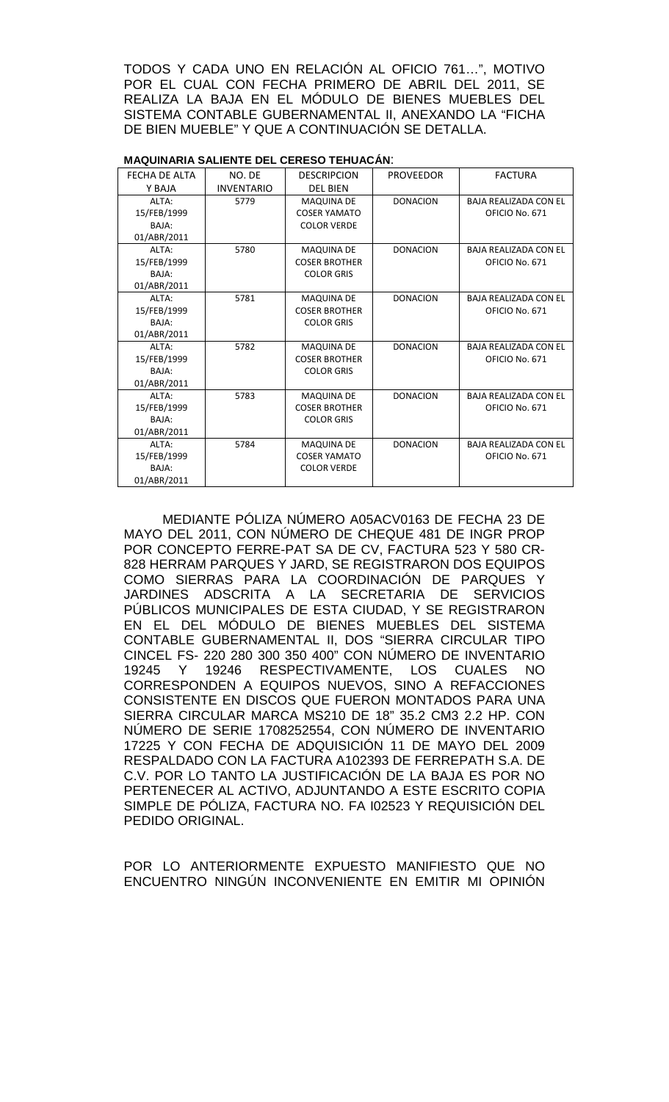TODOS Y CADA UNO EN RELACIÓN AL OFICIO 761…", MOTIVO POR EL CUAL CON FECHA PRIMERO DE ABRIL DEL 2011, SE REALIZA LA BAJA EN EL MÓDULO DE BIENES MUEBLES DEL SISTEMA CONTABLE GUBERNAMENTAL II, ANEXANDO LA "FICHA DE BIEN MUEBLE" Y QUE A CONTINUACIÓN SE DETALLA.

| <b>MAQUINARIA SALIENTE DEL CERESO TEHUACÁN:</b> |                   |                      |                  |                              |
|-------------------------------------------------|-------------------|----------------------|------------------|------------------------------|
| FECHA DE ALTA                                   | NO. DE            | <b>DESCRIPCION</b>   | <b>PROVEEDOR</b> | <b>FACTURA</b>               |
| Y BAJA                                          | <b>INVENTARIO</b> | <b>DEL BIEN</b>      |                  |                              |
| ALTA:                                           | 5779              | <b>MAQUINA DE</b>    | <b>DONACION</b>  | <b>BAJA REALIZADA CON EL</b> |
| 15/FEB/1999                                     |                   | <b>COSER YAMATO</b>  |                  | OFICIO No. 671               |
| BAJA:                                           |                   | <b>COLOR VERDE</b>   |                  |                              |
| 01/ABR/2011                                     |                   |                      |                  |                              |
| ALTA:                                           | 5780              | <b>MAQUINA DE</b>    | <b>DONACION</b>  | <b>BAJA REALIZADA CON EL</b> |
| 15/FEB/1999                                     |                   | <b>COSER BROTHER</b> |                  | OFICIO No. 671               |
| BAJA:                                           |                   | <b>COLOR GRIS</b>    |                  |                              |
| 01/ABR/2011                                     |                   |                      |                  |                              |
| ALTA:                                           | 5781              | <b>MAQUINA DE</b>    | <b>DONACION</b>  | <b>BAJA REALIZADA CON EL</b> |
| 15/FEB/1999                                     |                   | <b>COSER BROTHER</b> |                  | OFICIO No. 671               |
| <b>BAIA:</b>                                    |                   | <b>COLOR GRIS</b>    |                  |                              |
| 01/ABR/2011                                     |                   |                      |                  |                              |
| AI TA:                                          | 5782              | <b>MAQUINA DE</b>    | <b>DONACION</b>  | <b>BAJA REALIZADA CON EL</b> |
| 15/FEB/1999                                     |                   | <b>COSER BROTHER</b> |                  | OFICIO No. 671               |
| BAJA:                                           |                   | <b>COLOR GRIS</b>    |                  |                              |
| 01/ABR/2011                                     |                   |                      |                  |                              |
| ALTA:                                           | 5783              | <b>MAQUINA DE</b>    | <b>DONACION</b>  | <b>BAJA REALIZADA CON EL</b> |
| 15/FEB/1999                                     |                   | <b>COSER BROTHER</b> |                  | OFICIO No. 671               |
| BAJA:                                           |                   | <b>COLOR GRIS</b>    |                  |                              |
| 01/ABR/2011                                     |                   |                      |                  |                              |
| ALTA:                                           | 5784              | <b>MAQUINA DE</b>    | <b>DONACION</b>  | <b>BAJA REALIZADA CON EL</b> |
| 15/FEB/1999                                     |                   | <b>COSER YAMATO</b>  |                  | OFICIO No. 671               |
| BAJA:                                           |                   | <b>COLOR VERDE</b>   |                  |                              |
| 01/ABR/2011                                     |                   |                      |                  |                              |

MEDIANTE PÓLIZA NÚMERO A05ACV0163 DE FECHA 23 DE MAYO DEL 2011, CON NÚMERO DE CHEQUE 481 DE INGR PROP POR CONCEPTO FERRE-PAT SA DE CV, FACTURA 523 Y 580 CR-828 HERRAM PARQUES Y JARD, SE REGISTRARON DOS EQUIPOS COMO SIERRAS PARA LA COORDINACIÓN DE PARQUES Y JARDINES ADSCRITA A LA SECRETARIA DE SERVICIOS PÚBLICOS MUNICIPALES DE ESTA CIUDAD, Y SE REGISTRARON EN EL DEL MÓDULO DE BIENES MUEBLES DEL SISTEMA CONTABLE GUBERNAMENTAL II, DOS "SIERRA CIRCULAR TIPO CINCEL FS- 220 280 300 350 400" CON NÚMERO DE INVENTARIO 19245 Y 19246 RESPECTIVAMENTE, LOS CUALES NO CORRESPONDEN A EQUIPOS NUEVOS, SINO A REFACCIONES CONSISTENTE EN DISCOS QUE FUERON MONTADOS PARA UNA SIERRA CIRCULAR MARCA MS210 DE 18" 35.2 CM3 2.2 HP. CON NÚMERO DE SERIE 1708252554, CON NÚMERO DE INVENTARIO 17225 Y CON FECHA DE ADQUISICIÓN 11 DE MAYO DEL 2009 RESPALDADO CON LA FACTURA A102393 DE FERREPATH S.A. DE C.V. POR LO TANTO LA JUSTIFICACIÓN DE LA BAJA ES POR NO PERTENECER AL ACTIVO, ADJUNTANDO A ESTE ESCRITO COPIA SIMPLE DE PÓLIZA, FACTURA NO. FA I02523 Y REQUISICIÓN DEL PEDIDO ORIGINAL.

POR LO ANTERIORMENTE EXPUESTO MANIFIESTO QUE NO ENCUENTRO NINGÚN INCONVENIENTE EN EMITIR MI OPINIÓN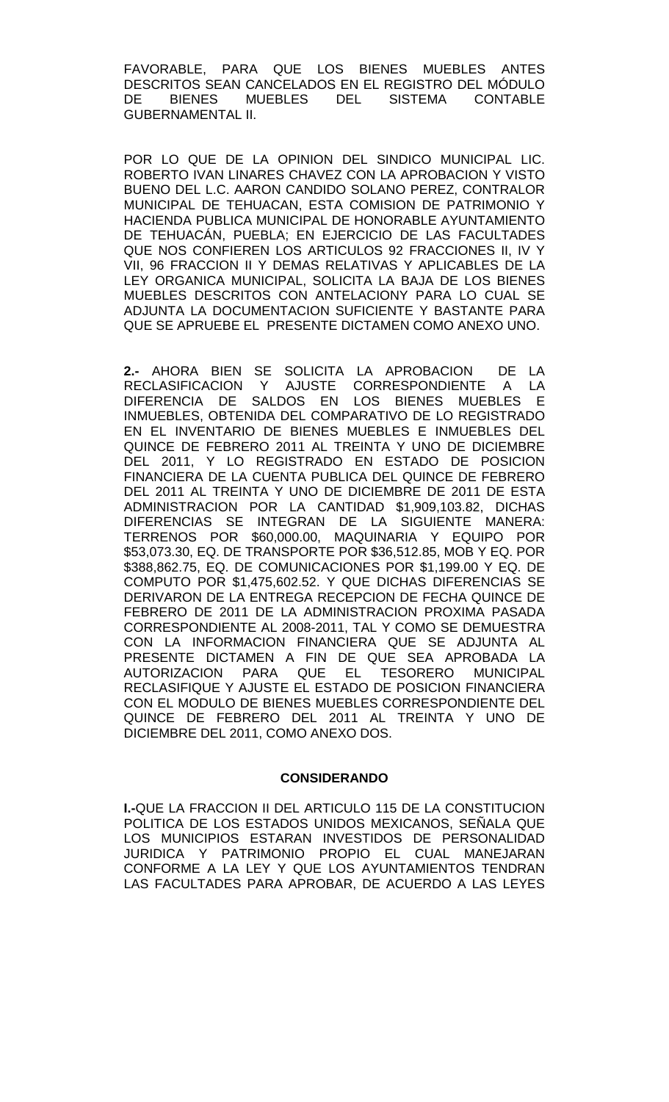FAVORABLE, PARA QUE LOS BIENES MUEBLES ANTES DESCRITOS SEAN CANCELADOS EN EL REGISTRO DEL MÓDULO DE BIENES MUEBLES DEL SISTEMA CONTABLE GUBERNAMENTAL II.

POR LO QUE DE LA OPINION DEL SINDICO MUNICIPAL LIC. ROBERTO IVAN LINARES CHAVEZ CON LA APROBACION Y VISTO BUENO DEL L.C. AARON CANDIDO SOLANO PEREZ, CONTRALOR MUNICIPAL DE TEHUACAN, ESTA COMISION DE PATRIMONIO Y HACIENDA PUBLICA MUNICIPAL DE HONORABLE AYUNTAMIENTO DE TEHUACÁN, PUEBLA; EN EJERCICIO DE LAS FACULTADES QUE NOS CONFIEREN LOS ARTICULOS 92 FRACCIONES II, IV Y VII, 96 FRACCION II Y DEMAS RELATIVAS Y APLICABLES DE LA LEY ORGANICA MUNICIPAL, SOLICITA LA BAJA DE LOS BIENES MUEBLES DESCRITOS CON ANTELACIONY PARA LO CUAL SE ADJUNTA LA DOCUMENTACION SUFICIENTE Y BASTANTE PARA QUE SE APRUEBE EL PRESENTE DICTAMEN COMO ANEXO UNO.

**2.-** AHORA BIEN SE SOLICITA LA APROBACION DE LA RECLASIFICACION Y AJUSTE CORRESPONDIENTE A LA DIFERENCIA DE SALDOS EN LOS BIENES MUEBLES E INMUEBLES, OBTENIDA DEL COMPARATIVO DE LO REGISTRADO EN EL INVENTARIO DE BIENES MUEBLES E INMUEBLES DEL QUINCE DE FEBRERO 2011 AL TREINTA Y UNO DE DICIEMBRE DEL 2011, Y LO REGISTRADO EN ESTADO DE POSICION FINANCIERA DE LA CUENTA PUBLICA DEL QUINCE DE FEBRERO DEL 2011 AL TREINTA Y UNO DE DICIEMBRE DE 2011 DE ESTA ADMINISTRACION POR LA CANTIDAD \$1,909,103.82, DICHAS DIFERENCIAS SE INTEGRAN DE LA SIGUIENTE MANERA: TERRENOS POR \$60,000.00, MAQUINARIA Y EQUIPO POR \$53,073.30, EQ. DE TRANSPORTE POR \$36,512.85, MOB Y EQ. POR \$388,862.75, EQ. DE COMUNICACIONES POR \$1,199.00 Y EQ. DE COMPUTO POR \$1,475,602.52. Y QUE DICHAS DIFERENCIAS SE DERIVARON DE LA ENTREGA RECEPCION DE FECHA QUINCE DE FEBRERO DE 2011 DE LA ADMINISTRACION PROXIMA PASADA CORRESPONDIENTE AL 2008-2011, TAL Y COMO SE DEMUESTRA CON LA INFORMACION FINANCIERA QUE SE ADJUNTA AL PRESENTE DICTAMEN A FIN DE QUE SEA APROBADA LA AUTORIZACION PARA QUE EL TESORERO MUNICIPAL RECLASIFIQUE Y AJUSTE EL ESTADO DE POSICION FINANCIERA CON EL MODULO DE BIENES MUEBLES CORRESPONDIENTE DEL QUINCE DE FEBRERO DEL 2011 AL TREINTA Y UNO DE DICIEMBRE DEL 2011, COMO ANEXO DOS.

## **CONSIDERANDO**

**I.-**QUE LA FRACCION II DEL ARTICULO 115 DE LA CONSTITUCION POLITICA DE LOS ESTADOS UNIDOS MEXICANOS, SEÑALA QUE LOS MUNICIPIOS ESTARAN INVESTIDOS DE PERSONALIDAD JURIDICA Y PATRIMONIO PROPIO EL CUAL MANEJARAN CONFORME A LA LEY Y QUE LOS AYUNTAMIENTOS TENDRAN LAS FACULTADES PARA APROBAR, DE ACUERDO A LAS LEYES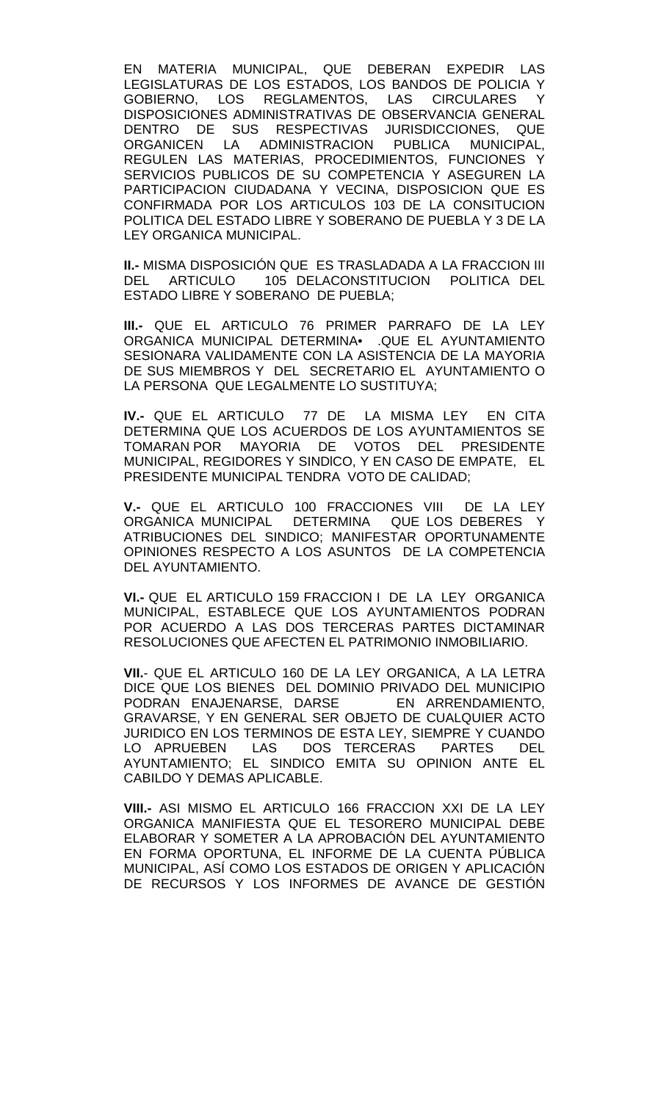EN MATERIA MUNICIPAL, QUE DEBERAN EXPEDIR LAS LEGISLATURAS DE LOS ESTADOS, LOS BANDOS DE POLICIA Y GOBIERNO, LOS REGLAMENTOS, LAS CIRCULARES Y DISPOSICIONES ADMINISTRATIVAS DE OBSERVANCIA GENERAL DENTRO DE SUS RESPECTIVAS JURISDICCIONES, QUE ORGANICEN LA ADMINISTRACION PUBLICA MUNICIPAL, REGULEN LAS MATERIAS, PROCEDIMIENTOS, FUNCIONES Y SERVICIOS PUBLICOS DE SU COMPETENCIA Y ASEGUREN LA PARTICIPACION CIUDADANA Y VECINA, DISPOSICION QUE ES CONFIRMADA POR LOS ARTICULOS 103 DE LA CONSITUCION POLITICA DEL ESTADO LIBRE Y SOBERANO DE PUEBLA Y 3 DE LA LEY ORGANICA MUNICIPAL.

**II.-** MISMA DISPOSICIÓN QUE ES TRASLADADA A LA FRACCION III DEL ARTICULO 105 DELACONSTITUCION POLITICA DEL ESTADO LIBRE Y SOBERANO DE PUEBLA;

**III.-** QUE EL ARTICULO 76 PRIMER PARRAFO DE LA LEY ORGANICA MUNICIPAL DETERMINA• .QUE EL AYUNTAMIENTO SESIONARA VALIDAMENTE CON LA ASISTENCIA DE LA MAYORIA DE SUS MIEMBROS Y DEL SECRETARIO EL AYUNTAMIENTO O LA PERSONA QUE LEGALMENTE LO SUSTITUYA;

**IV.-** QUE EL ARTICULO 77 DE LA MISMA LEY EN CITA DETERMINA QUE LOS ACUERDOS DE LOS AYUNTAMIENTOS SE TOMARAN POR MAYORIA DE VOTOS DEL PRESIDENTE MUNICIPAL, REGIDORES Y SINDlCO, Y EN CASO DE EMPATE, EL PRESIDENTE MUNICIPAL TENDRA VOTO DE CALIDAD;

**V.-** QUE EL ARTICULO 100 FRACCIONES VIII DE LA LEY ORGANICA MUNICIPAL DETERMINA QUE LOS DEBERES Y ATRIBUCIONES DEL SINDICO; MANIFESTAR OPORTUNAMENTE OPINIONES RESPECTO A LOS ASUNTOS DE LA COMPETENCIA DEL AYUNTAMIENTO.

**VI.-** QUE EL ARTICULO 159 FRACCION I DE LA LEY ORGANICA MUNICIPAL, ESTABLECE QUE LOS AYUNTAMIENTOS PODRAN POR ACUERDO A LAS DOS TERCERAS PARTES DICTAMINAR RESOLUCIONES QUE AFECTEN EL PATRIMONIO INMOBILIARIO.

**VII.**- QUE EL ARTICULO 160 DE LA LEY ORGANICA, A LA LETRA DICE QUE LOS BIENES DEL DOMINIO PRIVADO DEL MUNICIPIO<br>PODRAN ENAJENARSE, DARSE EN ARRENDAMIENTO, PODRAN ENAJENARSE, DARSE GRAVARSE, Y EN GENERAL SER OBJETO DE CUALQUIER ACTO JURIDICO EN LOS TERMINOS DE ESTA LEY, SIEMPRE Y CUANDO LO APRUEBEN LAS DOS TERCERAS PARTES DEL AYUNTAMIENTO; EL SINDICO EMITA SU OPINION ANTE EL CABILDO Y DEMAS APLICABLE.

**VIII.-** ASI MISMO EL ARTICULO 166 FRACCION XXI DE LA LEY ORGANICA MANIFIESTA QUE EL TESORERO MUNICIPAL DEBE ELABORAR Y SOMETER A LA APROBACIÓN DEL AYUNTAMIENTO EN FORMA OPORTUNA, EL INFORME DE LA CUENTA PÚBLICA MUNICIPAL, ASÍ COMO LOS ESTADOS DE ORIGEN Y APLICACIÓN DE RECURSOS Y LOS INFORMES DE AVANCE DE GESTIÓN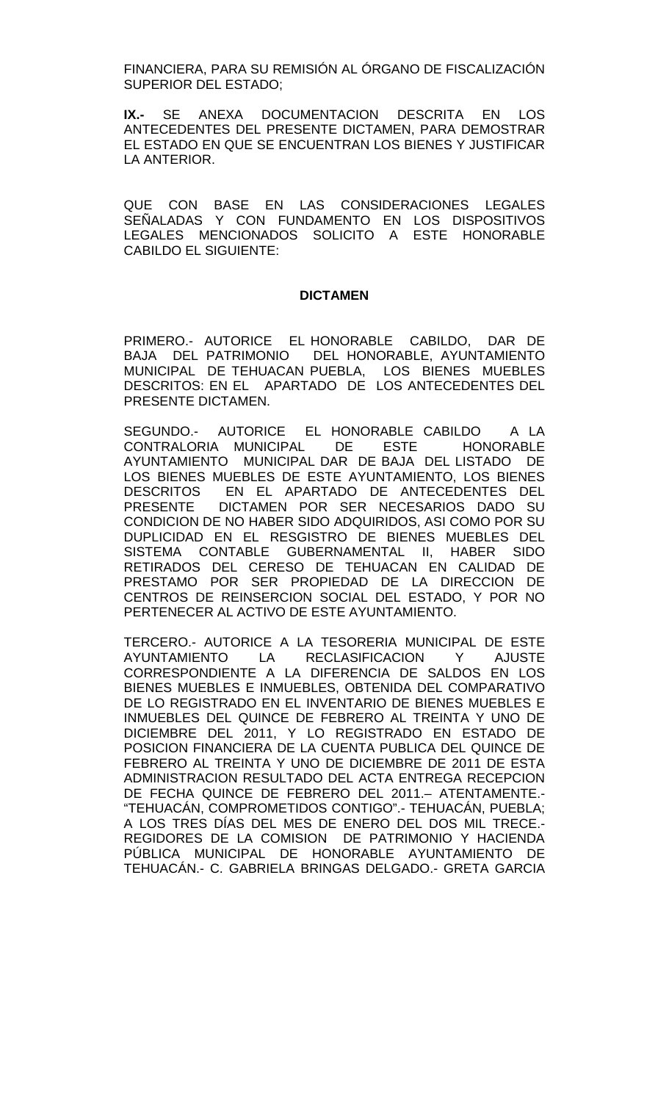FINANCIERA, PARA SU REMISIÓN AL ÓRGANO DE FISCALIZACIÓN SUPERIOR DEL ESTADO;

**IX.-** SE ANEXA DOCUMENTACION DESCRITA EN LOS ANTECEDENTES DEL PRESENTE DICTAMEN, PARA DEMOSTRAR EL ESTADO EN QUE SE ENCUENTRAN LOS BIENES Y JUSTIFICAR LA ANTERIOR.

QUE CON BASE EN LAS CONSIDERACIONES LEGALES SEÑALADAS Y CON FUNDAMENTO EN LOS DISPOSITIVOS LEGALES MENCIONADOS SOLICITO A ESTE HONORABLE CABILDO EL SIGUIENTE:

### **DICTAMEN**

PRIMERO.- AUTORICE EL HONORABLE CABILDO, DAR DE BAJA DEL PATRIMONIO DEL HONORABLE, AYUNTAMIENTO MUNICIPAL DE TEHUACAN PUEBLA, LOS BIENES MUEBLES DESCRITOS: EN EL APARTADO DE LOS ANTECEDENTES DEL PRESENTE DICTAMEN.

SEGUNDO.- AUTORICE EL HONORABLE CABILDO A LA CONTRALORIA MUNICIPAL DE ESTE HONORABLE AYUNTAMIENTO MUNICIPAL DAR DE BAJA DEL LISTADO DE LOS BIENES MUEBLES DE ESTE AYUNTAMIENTO, LOS BIENES DESCRITOS EN EL APARTADO DE ANTECEDENTES DEL<br>PRESENTE DICTAMEN POR SER NECESARIOS DADO SU DICTAMEN POR SER NECESARIOS DADO SU CONDICION DE NO HABER SIDO ADQUIRIDOS, ASI COMO POR SU DUPLICIDAD EN EL RESGISTRO DE BIENES MUEBLES DEL SISTEMA CONTABLE GUBERNAMENTAL II, HABER SIDO RETIRADOS DEL CERESO DE TEHUACAN EN CALIDAD DE PRESTAMO POR SER PROPIEDAD DE LA DIRECCION DE CENTROS DE REINSERCION SOCIAL DEL ESTADO, Y POR NO PERTENECER AL ACTIVO DE ESTE AYUNTAMIENTO.

TERCERO.- AUTORICE A LA TESORERIA MUNICIPAL DE ESTE AYUNTAMIENTO LA RECLASIFICACION Y AJUSTE CORRESPONDIENTE A LA DIFERENCIA DE SALDOS EN LOS BIENES MUEBLES E INMUEBLES, OBTENIDA DEL COMPARATIVO DE LO REGISTRADO EN EL INVENTARIO DE BIENES MUEBLES E INMUEBLES DEL QUINCE DE FEBRERO AL TREINTA Y UNO DE DICIEMBRE DEL 2011, Y LO REGISTRADO EN ESTADO DE POSICION FINANCIERA DE LA CUENTA PUBLICA DEL QUINCE DE FEBRERO AL TREINTA Y UNO DE DICIEMBRE DE 2011 DE ESTA ADMINISTRACION RESULTADO DEL ACTA ENTREGA RECEPCION DE FECHA QUINCE DE FEBRERO DEL 2011.– ATENTAMENTE.- "TEHUACÁN, COMPROMETIDOS CONTIGO".- TEHUACÁN, PUEBLA; A LOS TRES DÍAS DEL MES DE ENERO DEL DOS MIL TRECE.- REGIDORES DE LA COMISION DE PATRIMONIO Y HACIENDA PÚBLICA MUNICIPAL DE HONORABLE AYUNTAMIENTO DE TEHUACÁN.- C. GABRIELA BRINGAS DELGADO.- GRETA GARCIA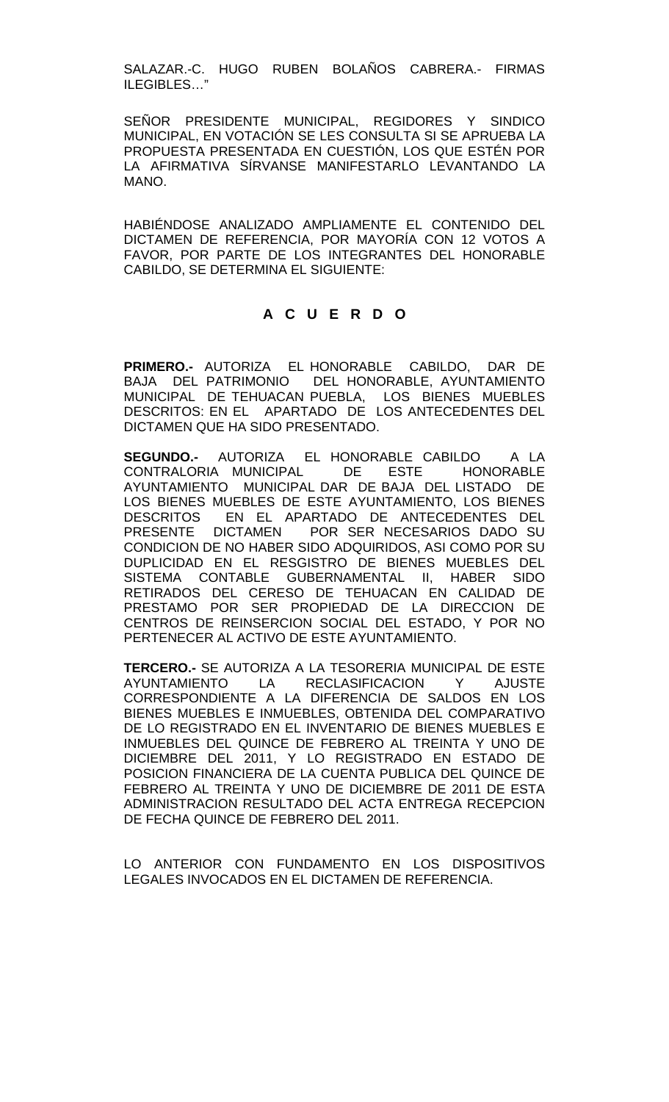SALAZAR.-C. HUGO RUBEN BOLAÑOS CABRERA.- FIRMAS ILEGIBLES…"

SEÑOR PRESIDENTE MUNICIPAL, REGIDORES Y SINDICO MUNICIPAL, EN VOTACIÓN SE LES CONSULTA SI SE APRUEBA LA PROPUESTA PRESENTADA EN CUESTIÓN, LOS QUE ESTÉN POR LA AFIRMATIVA SÍRVANSE MANIFESTARLO LEVANTANDO LA MANO.

HABIÉNDOSE ANALIZADO AMPLIAMENTE EL CONTENIDO DEL DICTAMEN DE REFERENCIA, POR MAYORÍA CON 12 VOTOS A FAVOR, POR PARTE DE LOS INTEGRANTES DEL HONORABLE CABILDO, SE DETERMINA EL SIGUIENTE:

# **A C U E R D O**

**PRIMERO.-** AUTORIZA EL HONORABLE CABILDO, DAR DE BAJA DEL PATRIMONIO DEL HONORABLE, AYUNTAMIENTO MUNICIPAL DE TEHUACAN PUEBLA, LOS BIENES MUEBLES DESCRITOS: EN EL APARTADO DE LOS ANTECEDENTES DEL DICTAMEN QUE HA SIDO PRESENTADO.

**SEGUNDO.-** AUTORIZA EL HONORABLE CABILDO A LA CONTRALORIA MUNICIPAL DE ESTE HONORABLE AYUNTAMIENTO MUNICIPAL DAR DE BAJA DEL LISTADO DE LOS BIENES MUEBLES DE ESTE AYUNTAMIENTO, LOS BIENES DESCRITOS EN EL APARTADO DE ANTECEDENTES DEL PRESENTE DICTAMEN POR SER NECESARIOS DADO SU CONDICION DE NO HABER SIDO ADQUIRIDOS, ASI COMO POR SU DUPLICIDAD EN EL RESGISTRO DE BIENES MUEBLES DEL SISTEMA CONTABLE GUBERNAMENTAL II, HABER SIDO RETIRADOS DEL CERESO DE TEHUACAN EN CALIDAD DE PRESTAMO POR SER PROPIEDAD DE LA DIRECCION DE CENTROS DE REINSERCION SOCIAL DEL ESTADO, Y POR NO PERTENECER AL ACTIVO DE ESTE AYUNTAMIENTO.

**TERCERO.-** SE AUTORIZA A LA TESORERIA MUNICIPAL DE ESTE AYUNTAMIENTO LA RECLASIFICACION Y AJUSTE CORRESPONDIENTE A LA DIFERENCIA DE SALDOS EN LOS BIENES MUEBLES E INMUEBLES, OBTENIDA DEL COMPARATIVO DE LO REGISTRADO EN EL INVENTARIO DE BIENES MUEBLES E INMUEBLES DEL QUINCE DE FEBRERO AL TREINTA Y UNO DE DICIEMBRE DEL 2011, Y LO REGISTRADO EN ESTADO DE POSICION FINANCIERA DE LA CUENTA PUBLICA DEL QUINCE DE FEBRERO AL TREINTA Y UNO DE DICIEMBRE DE 2011 DE ESTA ADMINISTRACION RESULTADO DEL ACTA ENTREGA RECEPCION DE FECHA QUINCE DE FEBRERO DEL 2011.

LO ANTERIOR CON FUNDAMENTO EN LOS DISPOSITIVOS LEGALES INVOCADOS EN EL DICTAMEN DE REFERENCIA.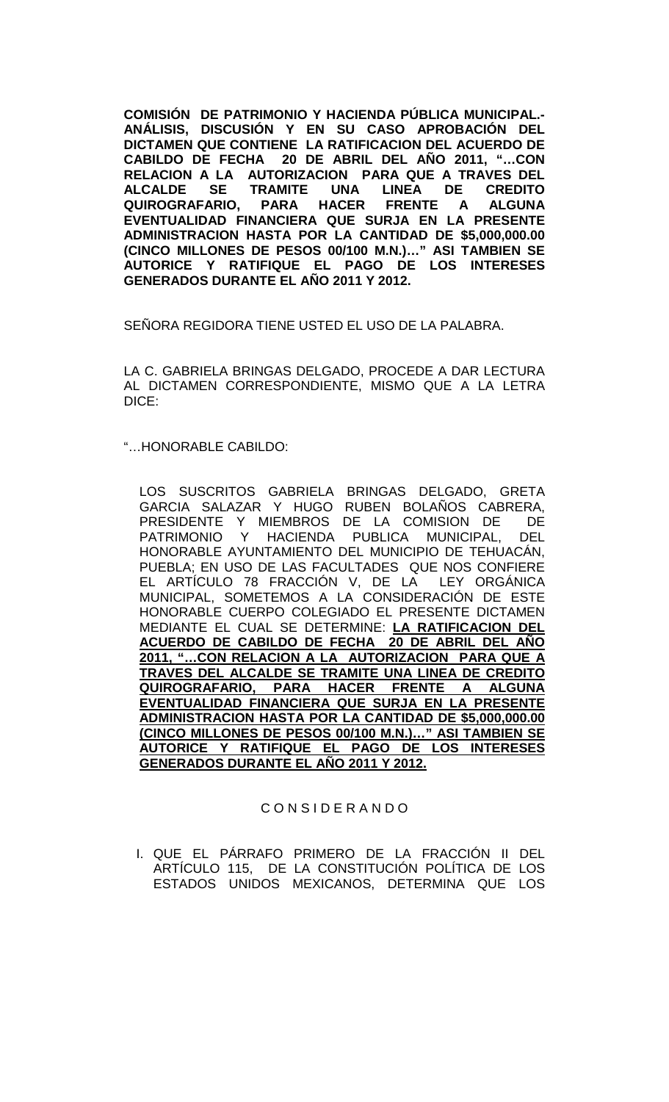**COMISIÓN DE PATRIMONIO Y HACIENDA PÚBLICA MUNICIPAL.- ANÁLISIS, DISCUSIÓN Y EN SU CASO APROBACIÓN DEL DICTAMEN QUE CONTIENE LA RATIFICACION DEL ACUERDO DE CABILDO DE FECHA 20 DE ABRIL DEL AÑO 2011, "…CON RELACION A LA AUTORIZACION PARA QUE A TRAVES DEL ALCALDE SE TRAMITE UNA LINEA DE CREDITO QUIROGRAFARIO, PARA HACER FRENTE A ALGUNA EVENTUALIDAD FINANCIERA QUE SURJA EN LA PRESENTE ADMINISTRACION HASTA POR LA CANTIDAD DE \$5,000,000.00 (CINCO MILLONES DE PESOS 00/100 M.N.)…" ASI TAMBIEN SE AUTORICE Y RATIFIQUE EL PAGO DE LOS INTERESES GENERADOS DURANTE EL AÑO 2011 Y 2012.**

SEÑORA REGIDORA TIENE USTED EL USO DE LA PALABRA.

LA C. GABRIELA BRINGAS DELGADO, PROCEDE A DAR LECTURA AL DICTAMEN CORRESPONDIENTE, MISMO QUE A LA LETRA DICE:

"…HONORABLE CABILDO:

LOS SUSCRITOS GABRIELA BRINGAS DELGADO, GRETA GARCIA SALAZAR Y HUGO RUBEN BOLAÑOS CABRERA, PRESIDENTE Y MIEMBROS DE LA COMISION DE DE<br>PATRIMONIO Y HACIENDA PUBLICA MUNICIPAL. DEL HACIENDA PUBLICA HONORABLE AYUNTAMIENTO DEL MUNICIPIO DE TEHUACÁN, PUEBLA; EN USO DE LAS FACULTADES QUE NOS CONFIERE EL ARTÍCULO 78 FRACCIÓN V, DE LA LEY ORGÁNICA MUNICIPAL, SOMETEMOS A LA CONSIDERACIÓN DE ESTE HONORABLE CUERPO COLEGIADO EL PRESENTE DICTAMEN MEDIANTE EL CUAL SE DETERMINE: **LA RATIFICACION DEL ACUERDO DE CABILDO DE FECHA 20 DE ABRIL DEL AÑO 2011, "…CON RELACION A LA AUTORIZACION PARA QUE A TRAVES DEL ALCALDE SE TRAMITE UNA LINEA DE CREDITO QUIROGRAFARIO, PARA HACER EVENTUALIDAD FINANCIERA QUE SURJA EN LA PRESENTE ADMINISTRACION HASTA POR LA CANTIDAD DE \$5,000,000.00 (CINCO MILLONES DE PESOS 00/100 M.N.)…" ASI TAMBIEN SE AUTORICE Y RATIFIQUE EL PAGO DE LOS INTERESES GENERADOS DURANTE EL AÑO 2011 Y 2012.**

## C O N S I D E R A N D O

I. QUE EL PÁRRAFO PRIMERO DE LA FRACCIÓN II DEL ARTÍCULO 115, DE LA CONSTITUCIÓN POLÍTICA DE LOS ESTADOS UNIDOS MEXICANOS, DETERMINA QUE LOS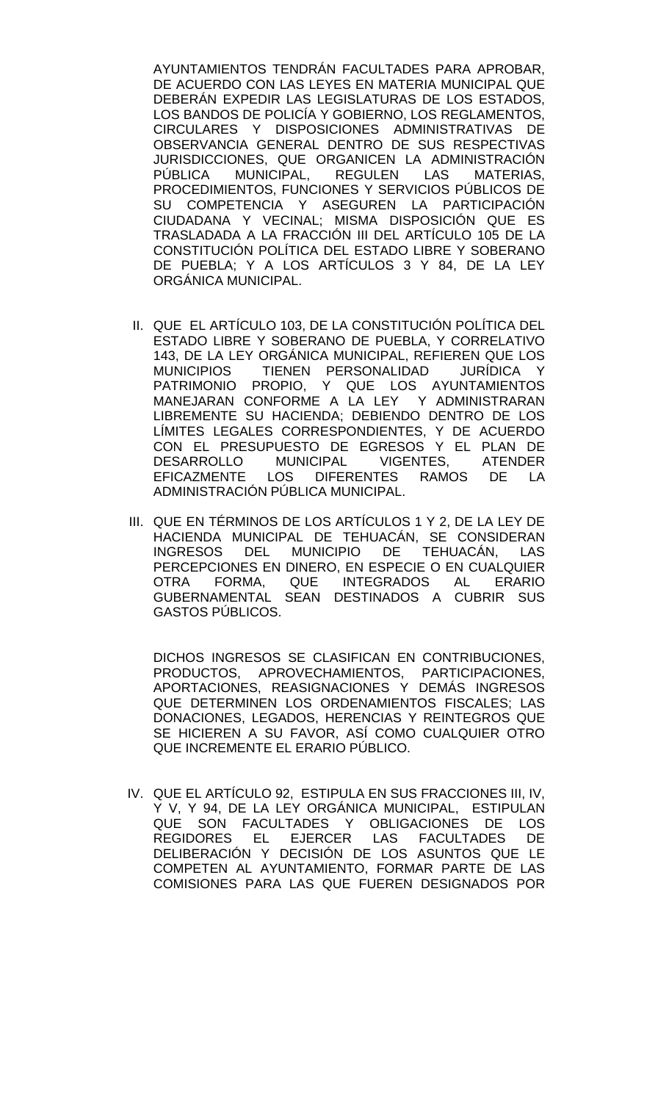AYUNTAMIENTOS TENDRÁN FACULTADES PARA APROBAR, DE ACUERDO CON LAS LEYES EN MATERIA MUNICIPAL QUE DEBERÁN EXPEDIR LAS LEGISLATURAS DE LOS ESTADOS, LOS BANDOS DE POLICÍA Y GOBIERNO, LOS REGLAMENTOS, CIRCULARES Y DISPOSICIONES ADMINISTRATIVAS DE OBSERVANCIA GENERAL DENTRO DE SUS RESPECTIVAS JURISDICCIONES, QUE ORGANICEN LA ADMINISTRACIÓN PÚBLICA MUNICIPAL, REGULEN LAS MATERIAS, PROCEDIMIENTOS, FUNCIONES Y SERVICIOS PÚBLICOS DE SU COMPETENCIA Y ASEGUREN LA PARTICIPACIÓN CIUDADANA Y VECINAL; MISMA DISPOSICIÓN QUE ES TRASLADADA A LA FRACCIÓN III DEL ARTÍCULO 105 DE LA CONSTITUCIÓN POLÍTICA DEL ESTADO LIBRE Y SOBERANO DE PUEBLA; Y A LOS ARTÍCULOS 3 Y 84, DE LA LEY ORGÁNICA MUNICIPAL.

- II. QUE EL ARTÍCULO 103, DE LA CONSTITUCIÓN POLÍTICA DEL ESTADO LIBRE Y SOBERANO DE PUEBLA, Y CORRELATIVO 143, DE LA LEY ORGÁNICA MUNICIPAL, REFIEREN QUE LOS MUNICIPIOS TIENEN PERSONALIDAD JURÍDICA Y PATRIMONIO PROPIO, Y QUE LOS AYUNTAMIENTOS MANEJARAN CONFORME A LA LEY Y ADMINISTRARAN LIBREMENTE SU HACIENDA; DEBIENDO DENTRO DE LOS LÍMITES LEGALES CORRESPONDIENTES, Y DE ACUERDO CON EL PRESUPUESTO DE EGRESOS Y EL PLAN DE<br>DESARROLLO MUNICIPAL VIGENTES, ATENDER DESARROLLO MUNICIPAL VIGENTES, ATENDER<br>EFICAZMENTE LOS DIFERENTES RAMOS DE LA LOS DIFERENTES RAMOS ADMINISTRACIÓN PÚBLICA MUNICIPAL.
- III. QUE EN TÉRMINOS DE LOS ARTÍCULOS 1 Y 2, DE LA LEY DE HACIENDA MUNICIPAL DE TEHUACÁN, SE CONSIDERAN<br>INGRESOS DEL MUNICIPIO DE TEHUACÁN, LAS DEL MUNICIPIO DE TEHUACÁN, PERCEPCIONES EN DINERO, EN ESPECIE O EN CUALQUIER<br>OTRA FORMA. QUE INTEGRADOS AL ERARIO FORMA, QUE INTEGRADOS AL GUBERNAMENTAL SEAN DESTINADOS A CUBRIR SUS GASTOS PÚBLICOS.

DICHOS INGRESOS SE CLASIFICAN EN CONTRIBUCIONES, PRODUCTOS, APROVECHAMIENTOS, PARTICIPACIONES, APORTACIONES, REASIGNACIONES Y DEMÁS INGRESOS QUE DETERMINEN LOS ORDENAMIENTOS FISCALES; LAS DONACIONES, LEGADOS, HERENCIAS Y REINTEGROS QUE SE HICIEREN A SU FAVOR, ASÍ COMO CUALQUIER OTRO QUE INCREMENTE EL ERARIO PÚBLICO.

IV. QUE EL ARTÍCULO 92, ESTIPULA EN SUS FRACCIONES III, IV, Y V, Y 94, DE LA LEY ORGÁNICA MUNICIPAL, ESTIPULAN QUE SON FACULTADES Y OBLIGACIONES DE LOS<br>REGIDORES EL EJERCER LAS FACULTADES DE EL EJERCER LAS FACULTADES DELIBERACIÓN Y DECISIÓN DE LOS ASUNTOS QUE LE COMPETEN AL AYUNTAMIENTO, FORMAR PARTE DE LAS COMISIONES PARA LAS QUE FUEREN DESIGNADOS POR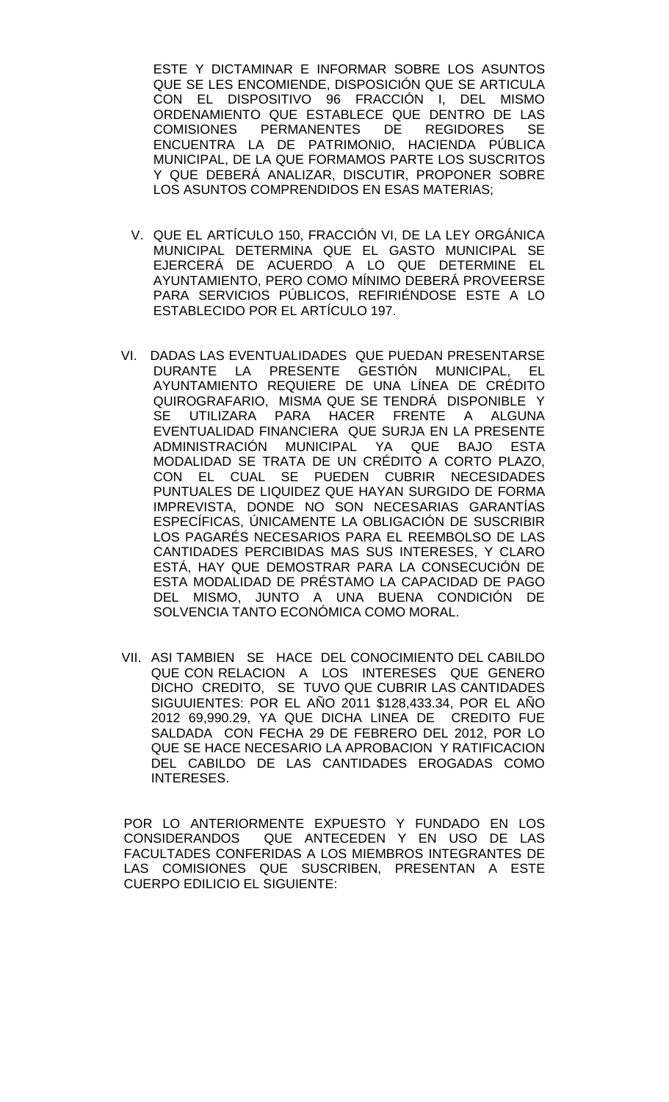ESTE Y DICTAMINAR E INFORMAR SOBRE LOS ASUNTOS QUE SE LES ENCOMIENDE, DISPOSICIÓN QUE SE ARTICULA CON EL DISPOSITIVO 96 FRACCIÓN I, DEL MISMO ORDENAMIENTO QUE ESTABLECE QUE DENTRO DE LAS<br>COMISIONES PERMANENTES DE REGIDORES SE COMISIONES PERMANENTES DE REGIDORES ENCUENTRA LA DE PATRIMONIO, HACIENDA PÚBLICA MUNICIPAL, DE LA QUE FORMAMOS PARTE LOS SUSCRITOS Y QUE DEBERÁ ANALIZAR, DISCUTIR, PROPONER SOBRE LOS ASUNTOS COMPRENDIDOS EN ESAS MATERIAS;

- V. QUE EL ARTÍCULO 150, FRACCIÓN VI, DE LA LEY ORGÁNICA MUNICIPAL DETERMINA QUE EL GASTO MUNICIPAL SE EJERCERÁ DE ACUERDO A LO QUE DETERMINE EL AYUNTAMIENTO, PERO COMO MÍNIMO DEBERÁ PROVEERSE PARA SERVICIOS PÚBLICOS, REFIRIÉNDOSE ESTE A LO ESTABLECIDO POR EL ARTÍCULO 197.
- VI. DADAS LAS EVENTUALIDADES QUE PUEDAN PRESENTARSE DURANTE LA PRESENTE GESTIÓN MUNICIPAL, EL AYUNTAMIENTO REQUIERE DE UNA LÍNEA DE CRÉDITO QUIROGRAFARIO, MISMA QUE SE TENDRÁ DISPONIBLE Y SE UTILIZARA PARA HACER FRENTE A ALGUNA EVENTUALIDAD FINANCIERA QUE SURJA EN LA PRESENTE ADMINISTRACIÓN MUNICIPAL YA QUE BAJO ESTA MODALIDAD SE TRATA DE UN CRÉDITO A CORTO PLAZO, CON EL CUAL SE PUEDEN CUBRIR NECESIDADES PUNTUALES DE LIQUIDEZ QUE HAYAN SURGIDO DE FORMA IMPREVISTA, DONDE NO SON NECESARIAS GARANTÍAS ESPECÍFICAS, ÚNICAMENTE LA OBLIGACIÓN DE SUSCRIBIR LOS PAGARÉS NECESARIOS PARA EL REEMBOLSO DE LAS CANTIDADES PERCIBIDAS MAS SUS INTERESES, Y CLARO ESTÁ, HAY QUE DEMOSTRAR PARA LA CONSECUCIÓN DE ESTA MODALIDAD DE PRÉSTAMO LA CAPACIDAD DE PAGO DEL MISMO, JUNTO A UNA BUENA CONDICIÓN DE SOLVENCIA TANTO ECONÓMICA COMO MORAL.
- VII. ASI TAMBIEN SE HACE DEL CONOCIMIENTO DEL CABILDO QUE CON RELACION A LOS INTERESES QUE GENERO DICHO CREDITO, SE TUVO QUE CUBRIR LAS CANTIDADES SIGUUIENTES: POR EL AÑO 2011 \$128,433.34, POR EL AÑO 2012 69,990.29, YA QUE DICHA LINEA DE CREDITO FUE SALDADA CON FECHA 29 DE FEBRERO DEL 2012, POR LO QUE SE HACE NECESARIO LA APROBACION Y RATIFICACION DEL CABILDO DE LAS CANTIDADES EROGADAS COMO INTERESES.

POR LO ANTERIORMENTE EXPUESTO Y FUNDADO EN LOS CONSIDERANDOS QUE ANTECEDEN Y EN USO DE LAS FACULTADES CONFERIDAS A LOS MIEMBROS INTEGRANTES DE LAS COMISIONES QUE SUSCRIBEN, PRESENTAN A ESTE CUERPO EDILICIO EL SIGUIENTE: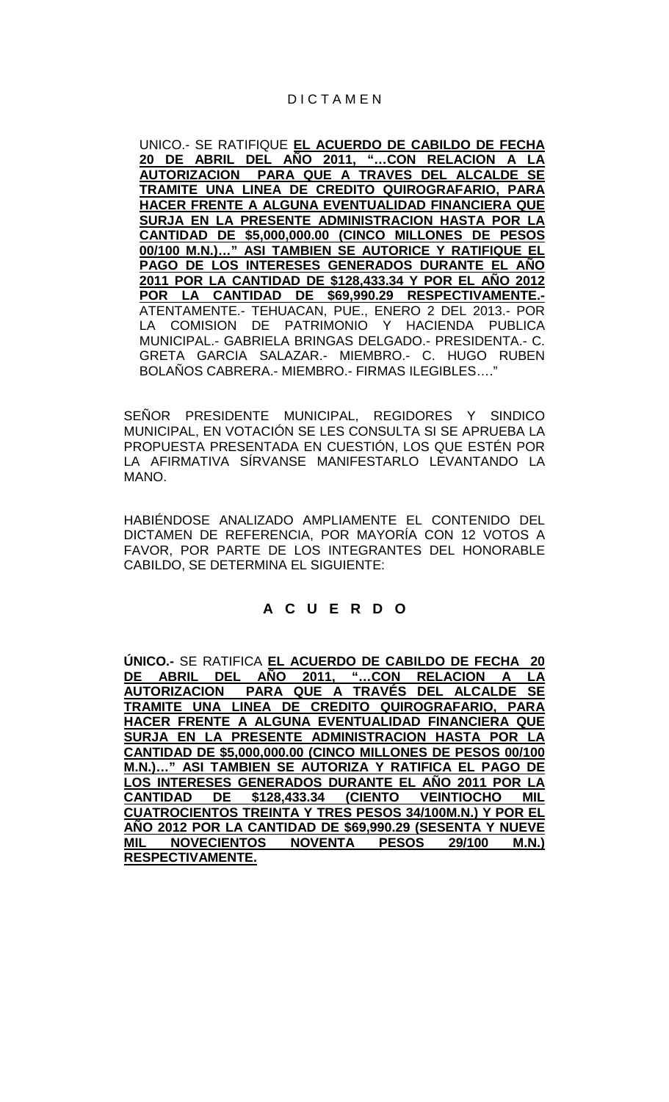## D I C T A M E N

UNICO.- SE RATIFIQUE **EL ACUERDO DE CABILDO DE FECHA 20 DE ABRIL DEL AÑO 2011, "…CON RELACION A LA AUTORIZACION PARA QUE A TRAVES DEL ALCALDE SE TRAMITE UNA LINEA DE CREDITO QUIROGRAFARIO, PARA HACER FRENTE A ALGUNA EVENTUALIDAD FINANCIERA QUE SURJA EN LA PRESENTE ADMINISTRACION HASTA POR LA CANTIDAD DE \$5,000,000.00 (CINCO MILLONES DE PESOS 00/100 M.N.)…" ASI TAMBIEN SE AUTORICE Y RATIFIQUE EL PAGO DE LOS INTERESES GENERADOS DURANTE EL AÑO 2011 POR LA CANTIDAD DE \$128,433.34 Y POR EL AÑO 2012 POR LA CANTIDAD DE \$69,990.29 RESPECTIVAMENTE.-** ATENTAMENTE.- TEHUACAN, PUE., ENERO 2 DEL 2013.- POR LA COMISION DE PATRIMONIO Y HACIENDA PUBLICA MUNICIPAL.- GABRIELA BRINGAS DELGADO.- PRESIDENTA.- C. GRETA GARCIA SALAZAR.- MIEMBRO.- C. HUGO RUBEN BOLAÑOS CABRERA.- MIEMBRO.- FIRMAS ILEGIBLES…."

SEÑOR PRESIDENTE MUNICIPAL, REGIDORES Y SINDICO MUNICIPAL, EN VOTACIÓN SE LES CONSULTA SI SE APRUEBA LA PROPUESTA PRESENTADA EN CUESTIÓN, LOS QUE ESTÉN POR LA AFIRMATIVA SÍRVANSE MANIFESTARLO LEVANTANDO LA MANO.

HABIÉNDOSE ANALIZADO AMPLIAMENTE EL CONTENIDO DEL DICTAMEN DE REFERENCIA, POR MAYORÍA CON 12 VOTOS A FAVOR, POR PARTE DE LOS INTEGRANTES DEL HONORABLE CABILDO, SE DETERMINA EL SIGUIENTE:

## **A C U E R D O**

**ÚNICO.-** SE RATIFICA **EL ACUERDO DE CABILDO DE FECHA 20 DE ABRIL DEL AÑO 2011, "…CON RELACION A LA AUTORIZACION PARA QUE A TRAVÉS DEL ALCALDE SE TRAMITE UNA LINEA DE CREDITO QUIROGRAFARIO, PARA HACER FRENTE A ALGUNA EVENTUALIDAD FINANCIERA QUE SURJA EN LA PRESENTE ADMINISTRACION HASTA POR LA CANTIDAD DE \$5,000,000.00 (CINCO MILLONES DE PESOS 00/100 M.N.)…" ASI TAMBIEN SE AUTORIZA Y RATIFICA EL PAGO DE LOS INTERESES GENERADOS DURANTE EL AÑO 2011 POR LA CANTIDAD DE \$128,433.34 (CIENTO VEINTIOCHO MIL CUATROCIENTOS TREINTA Y TRES PESOS 34/100M.N.) Y POR EL AÑO 2012 POR LA CANTIDAD DE \$69,990.29 (SESENTA Y NUEVE MIL NOVECIENTOS NOVENTA PESOS 29/100 M.N.) RESPECTIVAMENTE.**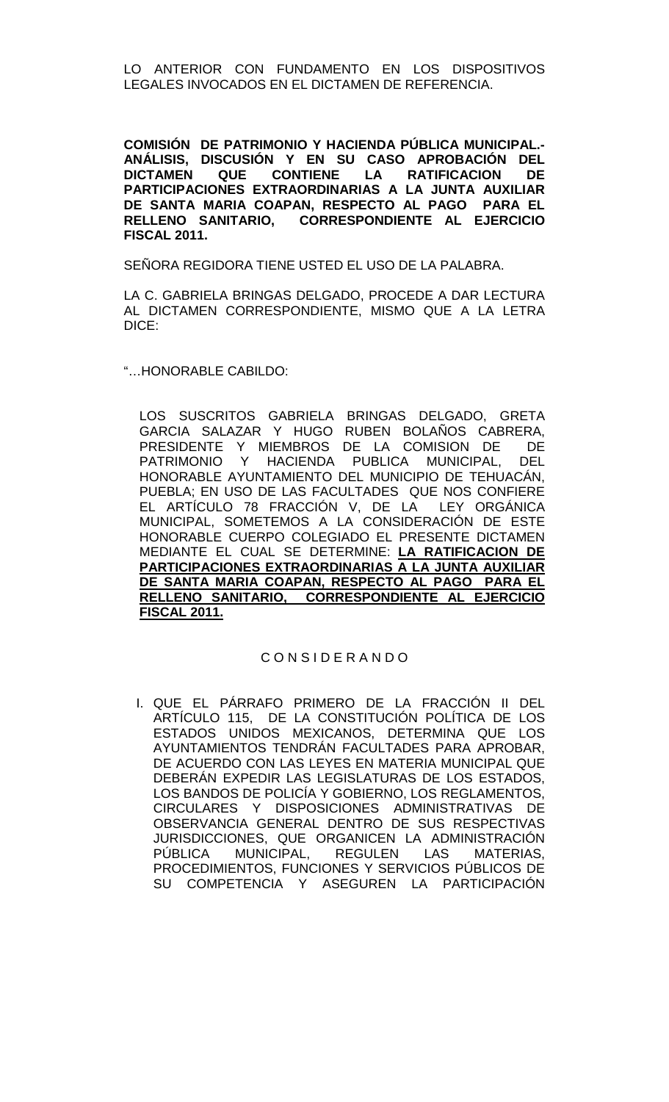LO ANTERIOR CON FUNDAMENTO EN LOS DISPOSITIVOS LEGALES INVOCADOS EN EL DICTAMEN DE REFERENCIA.

**COMISIÓN DE PATRIMONIO Y HACIENDA PÚBLICA MUNICIPAL.- ANÁLISIS, DISCUSIÓN Y EN SU CASO APROBACIÓN DEL QUE CONTIENE LA RATIFICACION PARTICIPACIONES EXTRAORDINARIAS A LA JUNTA AUXILIAR DE SANTA MARIA COAPAN, RESPECTO AL PAGO PARA EL RELLENO SANITARIO, CORRESPONDIENTE AL EJERCICIO FISCAL 2011.**

SEÑORA REGIDORA TIENE USTED EL USO DE LA PALABRA.

LA C. GABRIELA BRINGAS DELGADO, PROCEDE A DAR LECTURA AL DICTAMEN CORRESPONDIENTE, MISMO QUE A LA LETRA DICE:

"…HONORABLE CABILDO:

LOS SUSCRITOS GABRIELA BRINGAS DELGADO, GRETA GARCIA SALAZAR Y HUGO RUBEN BOLAÑOS CABRERA, PRESIDENTE Y MIEMBROS DE LA COMISION DE DE PATRIMONIO Y HACIENDA PUBLICA MUNICIPAL, DEL HONORABLE AYUNTAMIENTO DEL MUNICIPIO DE TEHUACÁN, PUEBLA; EN USO DE LAS FACULTADES QUE NOS CONFIERE EL ARTÍCULO 78 FRACCIÓN V, DE LA LEY ORGÁNICA MUNICIPAL, SOMETEMOS A LA CONSIDERACIÓN DE ESTE HONORABLE CUERPO COLEGIADO EL PRESENTE DICTAMEN MEDIANTE EL CUAL SE DETERMINE: **LA RATIFICACION DE PARTICIPACIONES EXTRAORDINARIAS A LA JUNTA AUXILIAR DE SANTA MARIA COAPAN, RESPECTO AL PAGO PARA EL RELLENO SANITARIO, CORRESPONDIENTE AL EJERCICIO FISCAL 2011.**

### C O N S I D E R A N D O

I. QUE EL PÁRRAFO PRIMERO DE LA FRACCIÓN II DEL ARTÍCULO 115, DE LA CONSTITUCIÓN POLÍTICA DE LOS ESTADOS UNIDOS MEXICANOS, DETERMINA QUE LOS AYUNTAMIENTOS TENDRÁN FACULTADES PARA APROBAR, DE ACUERDO CON LAS LEYES EN MATERIA MUNICIPAL QUE DEBERÁN EXPEDIR LAS LEGISLATURAS DE LOS ESTADOS, LOS BANDOS DE POLICÍA Y GOBIERNO, LOS REGLAMENTOS, CIRCULARES Y DISPOSICIONES ADMINISTRATIVAS DE OBSERVANCIA GENERAL DENTRO DE SUS RESPECTIVAS JURISDICCIONES, QUE ORGANICEN LA ADMINISTRACIÓN PÚBLICA MUNICIPAL, REGULEN LAS MATERIAS, PROCEDIMIENTOS, FUNCIONES Y SERVICIOS PÚBLICOS DE SU COMPETENCIA Y ASEGUREN LA PARTICIPACIÓN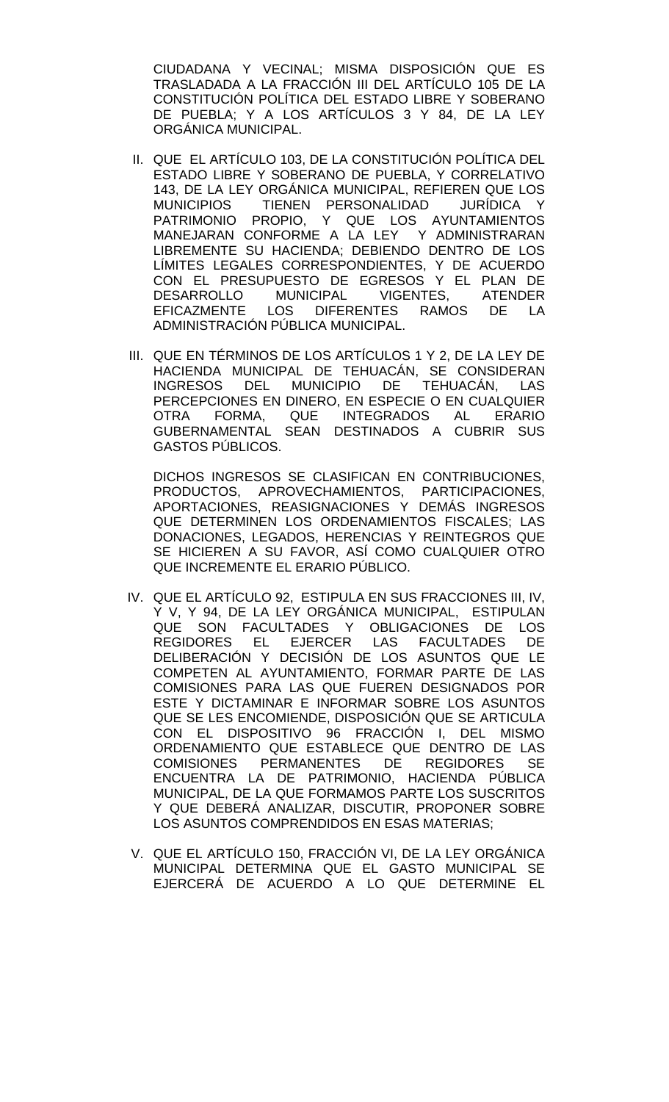CIUDADANA Y VECINAL; MISMA DISPOSICIÓN QUE ES TRASLADADA A LA FRACCIÓN III DEL ARTÍCULO 105 DE LA CONSTITUCIÓN POLÍTICA DEL ESTADO LIBRE Y SOBERANO DE PUEBLA; Y A LOS ARTÍCULOS 3 Y 84, DE LA LEY ORGÁNICA MUNICIPAL.

- II. QUE EL ARTÍCULO 103, DE LA CONSTITUCIÓN POLÍTICA DEL ESTADO LIBRE Y SOBERANO DE PUEBLA, Y CORRELATIVO 143, DE LA LEY ORGÁNICA MUNICIPAL, REFIEREN QUE LOS MUNICIPIOS TIENEN PERSONALIDAD JURÍDICA Y PATRIMONIO PROPIO, Y QUE LOS AYUNTAMIENTOS MANEJARAN CONFORME A LA LEY Y ADMINISTRARAN LIBREMENTE SU HACIENDA; DEBIENDO DENTRO DE LOS LÍMITES LEGALES CORRESPONDIENTES, Y DE ACUERDO CON EL PRESUPUESTO DE EGRESOS Y EL PLAN DE DESARROLLO MUNICIPAL VIGENTES, ATENDER<br>EFICAZMENTE LOS DIFERENTES RAMOS DE LA RAMOS DE LA ADMINISTRACIÓN PÚBLICA MUNICIPAL.
- III. QUE EN TÉRMINOS DE LOS ARTÍCULOS 1 Y 2, DE LA LEY DE HACIENDA MUNICIPAL DE TEHUACÁN, SE CONSIDERAN INGRESOS DEL MUNICIPIO DE TEHUACÁN, LAS PERCEPCIONES EN DINERO, EN ESPECIE O EN CUALQUIER OTRA FORMA, QUE INTEGRADOS AL ERARIO GUBERNAMENTAL SEAN DESTINADOS A CUBRIR SUS GASTOS PÚBLICOS.

DICHOS INGRESOS SE CLASIFICAN EN CONTRIBUCIONES, PRODUCTOS, APROVECHAMIENTOS, PARTICIPACIONES, APORTACIONES, REASIGNACIONES Y DEMÁS INGRESOS QUE DETERMINEN LOS ORDENAMIENTOS FISCALES; LAS DONACIONES, LEGADOS, HERENCIAS Y REINTEGROS QUE SE HICIEREN A SU FAVOR, ASÍ COMO CUALQUIER OTRO QUE INCREMENTE EL ERARIO PÚBLICO.

- IV. QUE EL ARTÍCULO 92, ESTIPULA EN SUS FRACCIONES III, IV, Y V, Y 94, DE LA LEY ORGÁNICA MUNICIPAL, ESTIPULAN QUE SON FACULTADES Y OBLIGACIONES DE LOS REGIDORES EL EJERCER LAS FACULTADES DE DELIBERACIÓN Y DECISIÓN DE LOS ASUNTOS QUE LE COMPETEN AL AYUNTAMIENTO, FORMAR PARTE DE LAS COMISIONES PARA LAS QUE FUEREN DESIGNADOS POR ESTE Y DICTAMINAR E INFORMAR SOBRE LOS ASUNTOS QUE SE LES ENCOMIENDE, DISPOSICIÓN QUE SE ARTICULA CON EL DISPOSITIVO 96 FRACCIÓN I, DEL MISMO ORDENAMIENTO QUE ESTABLECE QUE DENTRO DE LAS<br>COMISIONES PERMANENTES DE REGIDORES SE COMISIONES PERMANENTES DE REGIDORES SE ENCUENTRA LA DE PATRIMONIO, HACIENDA PÚBLICA MUNICIPAL, DE LA QUE FORMAMOS PARTE LOS SUSCRITOS Y QUE DEBERÁ ANALIZAR, DISCUTIR, PROPONER SOBRE LOS ASUNTOS COMPRENDIDOS EN ESAS MATERIAS;
- V. QUE EL ARTÍCULO 150, FRACCIÓN VI, DE LA LEY ORGÁNICA MUNICIPAL DETERMINA QUE EL GASTO MUNICIPAL SE EJERCERÁ DE ACUERDO A LO QUE DETERMINE EL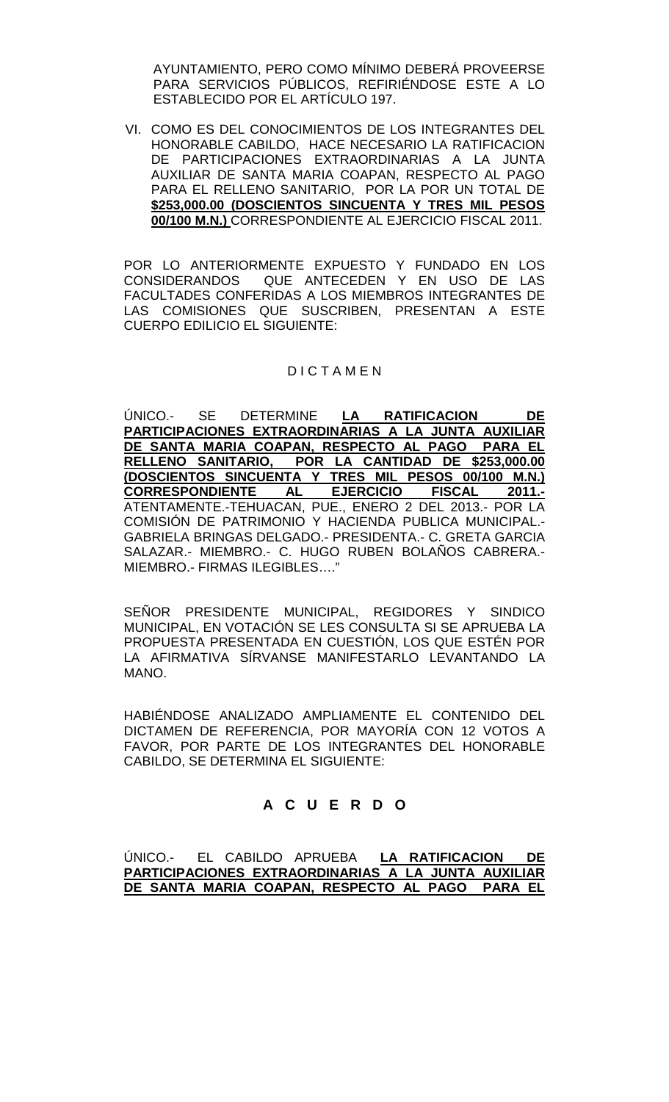AYUNTAMIENTO, PERO COMO MÍNIMO DEBERÁ PROVEERSE PARA SERVICIOS PÚBLICOS, REFIRIÉNDOSE ESTE A LO ESTABLECIDO POR EL ARTÍCULO 197.

VI. COMO ES DEL CONOCIMIENTOS DE LOS INTEGRANTES DEL HONORABLE CABILDO, HACE NECESARIO LA RATIFICACION DE PARTICIPACIONES EXTRAORDINARIAS A LA JUNTA AUXILIAR DE SANTA MARIA COAPAN, RESPECTO AL PAGO PARA EL RELLENO SANITARIO, POR LA POR UN TOTAL DE **\$253,000.00 (DOSCIENTOS SINCUENTA Y TRES MIL PESOS 00/100 M.N.)** CORRESPONDIENTE AL EJERCICIO FISCAL 2011.

POR LO ANTERIORMENTE EXPUESTO Y FUNDADO EN LOS CONSIDERANDOS QUE ANTECEDEN Y EN USO DE LAS FACULTADES CONFERIDAS A LOS MIEMBROS INTEGRANTES DE LAS COMISIONES QUE SUSCRIBEN, PRESENTAN A ESTE CUERPO EDILICIO EL SIGUIENTE:

## **DICTAMEN**

ÚNICO.- SE DETERMINE **LA RATIFICACION DE PARTICIPACIONES EXTRAORDINARIAS A LA JUNTA AUXILIAR DE SANTA MARIA COAPAN, RESPECTO AL PAGO PARA EL RELLENO SANITARIO, POR LA CANTIDAD DE \$253,000.00 (DOSCIENTOS SINCUENTA Y TRES MIL PESOS 00/100 M.N.) CORRESPONDIENTE AL EJERCICIO FISCAL 2011.-** ATENTAMENTE.-TEHUACAN, PUE., ENERO 2 DEL 2013.- POR LA COMISIÓN DE PATRIMONIO Y HACIENDA PUBLICA MUNICIPAL.- GABRIELA BRINGAS DELGADO.- PRESIDENTA.- C. GRETA GARCIA SALAZAR.- MIEMBRO.- C. HUGO RUBEN BOLAÑOS CABRERA.- MIEMBRO.- FIRMAS ILEGIBLES…."

SEÑOR PRESIDENTE MUNICIPAL, REGIDORES Y SINDICO MUNICIPAL, EN VOTACIÓN SE LES CONSULTA SI SE APRUEBA LA PROPUESTA PRESENTADA EN CUESTIÓN, LOS QUE ESTÉN POR LA AFIRMATIVA SÍRVANSE MANIFESTARLO LEVANTANDO LA MANO.

HABIÉNDOSE ANALIZADO AMPLIAMENTE EL CONTENIDO DEL DICTAMEN DE REFERENCIA, POR MAYORÍA CON 12 VOTOS A FAVOR, POR PARTE DE LOS INTEGRANTES DEL HONORABLE CABILDO, SE DETERMINA EL SIGUIENTE:

# **A C U E R D O**

ÚNICO.- EL CABILDO APRUEBA **LA RATIFICACION DE PARTICIPACIONES EXTRAORDINARIAS A LA JUNTA AUXILIAR DE SANTA MARIA COAPAN, RESPECTO AL PAGO PARA EL**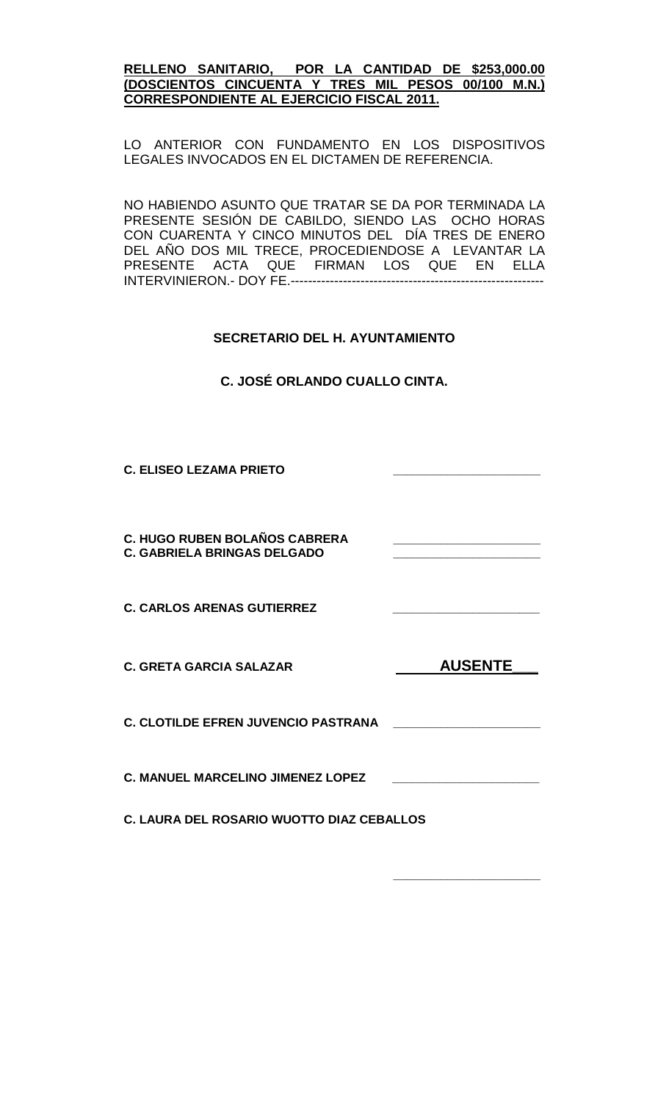### **RELLENO SANITARIO, POR LA CANTIDAD DE \$253,000.00 (DOSCIENTOS CINCUENTA Y TRES MIL PESOS 00/100 M.N.) CORRESPONDIENTE AL EJERCICIO FISCAL 2011.**

LO ANTERIOR CON FUNDAMENTO EN LOS DISPOSITIVOS LEGALES INVOCADOS EN EL DICTAMEN DE REFERENCIA.

NO HABIENDO ASUNTO QUE TRATAR SE DA POR TERMINADA LA PRESENTE SESIÓN DE CABILDO, SIENDO LAS OCHO HORAS CON CUARENTA Y CINCO MINUTOS DEL DÍA TRES DE ENERO DEL AÑO DOS MIL TRECE, PROCEDIENDOSE A LEVANTAR LA<br>PRESENTE ACTA QUE FIRMAN LOS QUE EN ELLA ACTA QUE FIRMAN LOS QUE EN ELLA INTERVINIERON.- DOY FE.----------------------------------------------------------

# **SECRETARIO DEL H. AYUNTAMIENTO**

**C. JOSÉ ORLANDO CUALLO CINTA.**

**C. ELISEO LEZAMA PRIETO \_\_\_\_\_\_\_\_\_\_\_\_\_\_\_\_\_\_\_\_\_\_**

**C. HUGO RUBEN BOLAÑOS CABRERA \_\_\_\_\_\_\_\_\_\_\_\_\_\_\_\_\_\_\_\_\_\_ C. GABRIELA BRINGAS DELGADO \_\_\_\_\_\_\_\_\_\_\_\_\_\_\_\_\_\_\_\_\_\_**

**C. CARLOS ARENAS GUTIERREZ \_\_\_\_\_\_\_\_\_\_\_\_\_\_\_\_\_\_\_\_\_\_**

**C. GRETA GARCIA SALAZAR C. CONSUMING AUSENTE** 

**C. CLOTILDE EFREN JUVENCIO PASTRANA \_\_\_\_\_\_\_\_\_\_\_\_\_\_\_\_\_\_\_\_\_\_**

**C. MANUEL MARCELINO JIMENEZ LOPEZ \_\_\_\_\_\_\_\_\_\_\_\_\_\_\_\_\_\_\_\_\_\_**

**\_\_\_\_\_\_\_\_\_\_\_\_\_\_\_\_\_\_\_\_\_\_**

**C. LAURA DEL ROSARIO WUOTTO DIAZ CEBALLOS**